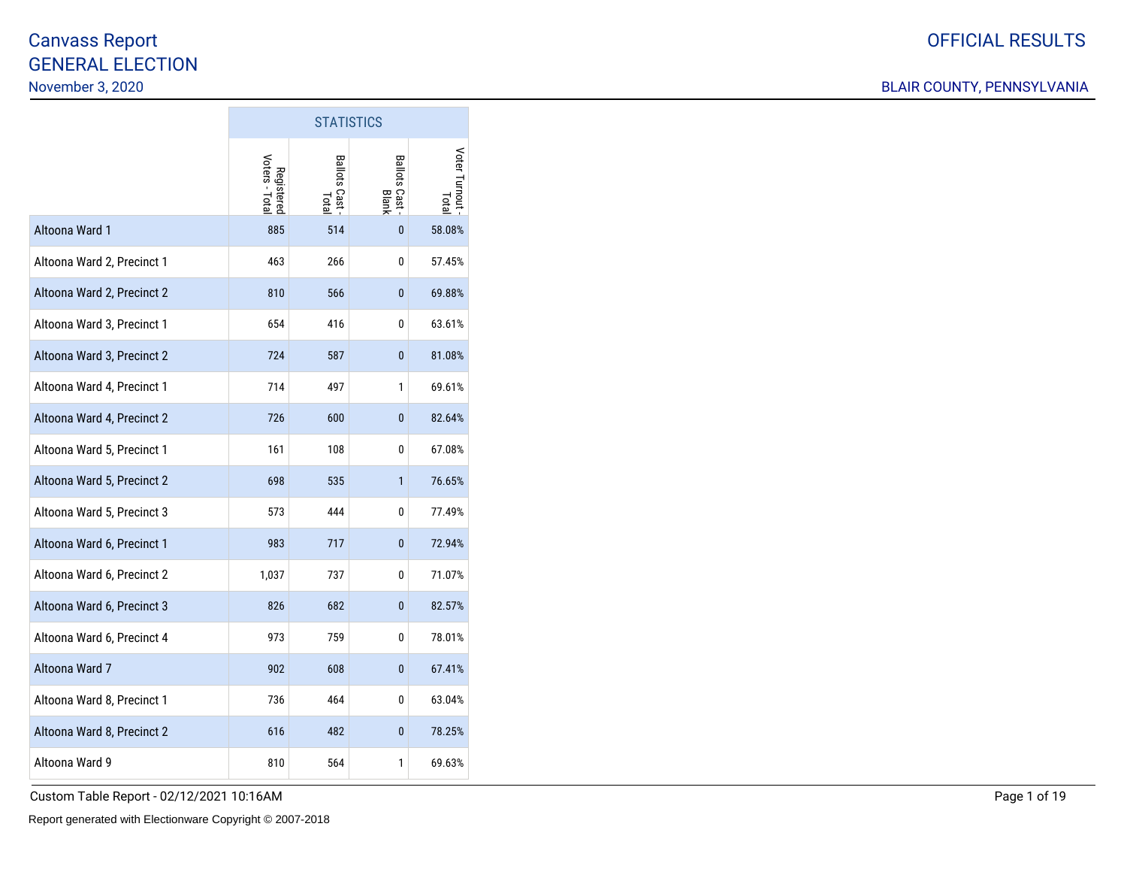|                            |                              |                         | <b>STATISTICS</b>       |                        |  |  |  |
|----------------------------|------------------------------|-------------------------|-------------------------|------------------------|--|--|--|
|                            | Registered<br>Voters - Total | Ballots Cast -<br>Total | Ballots Cast -<br>Blank | Voter Turnout<br>Total |  |  |  |
| Altoona Ward 1             | 885                          | 514                     | $\bf{0}$                | 58.08%                 |  |  |  |
| Altoona Ward 2, Precinct 1 | 463                          | 266                     | 0                       | 57.45%                 |  |  |  |
| Altoona Ward 2, Precinct 2 | 810                          | 566                     | 0                       | 69.88%                 |  |  |  |
| Altoona Ward 3, Precinct 1 | 654                          | 416                     | 0                       | 63.61%                 |  |  |  |
| Altoona Ward 3, Precinct 2 | 724                          | 587                     | 0                       | 81.08%                 |  |  |  |
| Altoona Ward 4, Precinct 1 | 714                          | 497                     | 1                       | 69.61%                 |  |  |  |
| Altoona Ward 4, Precinct 2 | 726                          | 600                     | 0                       | 82.64%                 |  |  |  |
| Altoona Ward 5, Precinct 1 | 161                          | 108                     | 0                       | 67.08%                 |  |  |  |
| Altoona Ward 5, Precinct 2 | 698                          | 535                     | 1                       | 76.65%                 |  |  |  |
| Altoona Ward 5, Precinct 3 | 573                          | 444                     | 0                       | 77.49%                 |  |  |  |
| Altoona Ward 6, Precinct 1 | 983                          | 717                     | 0                       | 72.94%                 |  |  |  |
| Altoona Ward 6, Precinct 2 | 1,037                        | 737                     | 0                       | 71.07%                 |  |  |  |
| Altoona Ward 6, Precinct 3 | 826                          | 682                     | 0                       | 82.57%                 |  |  |  |
| Altoona Ward 6, Precinct 4 | 973                          | 759                     | 0                       | 78.01%                 |  |  |  |
| Altoona Ward 7             | 902                          | 608                     | 0                       | 67.41%                 |  |  |  |
| Altoona Ward 8, Precinct 1 | 736                          | 464                     | 0                       | 63.04%                 |  |  |  |
| Altoona Ward 8, Precinct 2 | 616                          | 482                     | 0                       | 78.25%                 |  |  |  |
| Altoona Ward 9             | 810                          | 564                     | 1                       | 69.63%                 |  |  |  |

**T**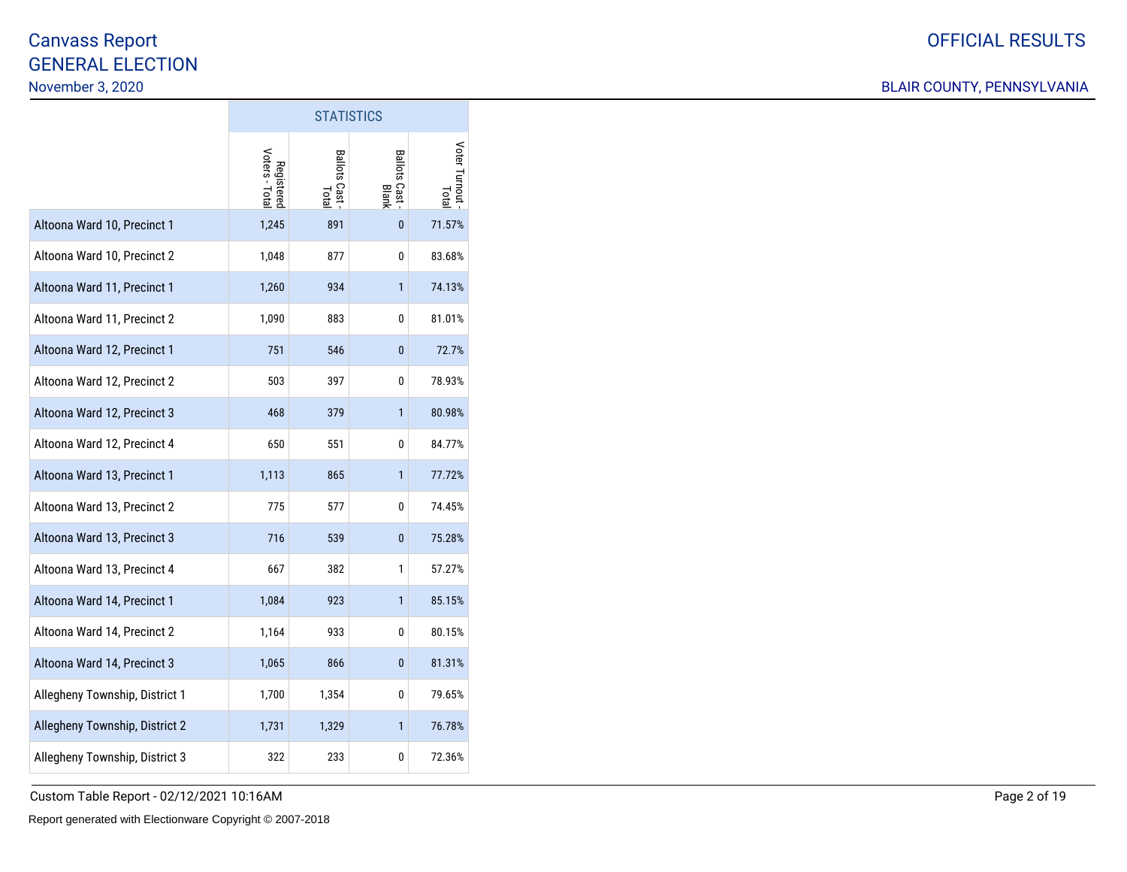### BLAIR COUNTY, PENNSYLVANIA

|                                | <b>STATISTICS</b>            |                       |                         |                       |  |  |  |  |  |  |
|--------------------------------|------------------------------|-----------------------|-------------------------|-----------------------|--|--|--|--|--|--|
|                                | Voters - Total<br>Registereo | Ballots Cast<br>Total | Ballots Cast -<br>Blank | Voter Turnout<br>Tota |  |  |  |  |  |  |
| Altoona Ward 10, Precinct 1    | 1,245                        | 891                   | $\bf{0}$                | 71.57%                |  |  |  |  |  |  |
| Altoona Ward 10, Precinct 2    | 1,048                        | 877                   | 0                       | 83.68%                |  |  |  |  |  |  |
| Altoona Ward 11, Precinct 1    | 1,260                        | 934                   | $\mathbf{1}$            | 74.13%                |  |  |  |  |  |  |
| Altoona Ward 11, Precinct 2    | 1,090                        | 883                   | 0                       | 81.01%                |  |  |  |  |  |  |
| Altoona Ward 12, Precinct 1    | 751                          | 546                   | 0                       | 72.7%                 |  |  |  |  |  |  |
| Altoona Ward 12, Precinct 2    | 503                          | 397                   | 0                       | 78.93%                |  |  |  |  |  |  |
| Altoona Ward 12, Precinct 3    | 468                          | 379                   | $\mathbf{1}$            | 80.98%                |  |  |  |  |  |  |
| Altoona Ward 12, Precinct 4    | 650                          | 551                   | 0                       | 84.77%                |  |  |  |  |  |  |
| Altoona Ward 13, Precinct 1    | 1,113                        | 865                   | $\mathbf{1}$            | 77.72%                |  |  |  |  |  |  |
| Altoona Ward 13, Precinct 2    | 775                          | 577                   | 0                       | 74.45%                |  |  |  |  |  |  |
| Altoona Ward 13, Precinct 3    | 716                          | 539                   | 0                       | 75.28%                |  |  |  |  |  |  |
| Altoona Ward 13, Precinct 4    | 667                          | 382                   | 1                       | 57.27%                |  |  |  |  |  |  |
| Altoona Ward 14, Precinct 1    | 1,084                        | 923                   | 1                       | 85.15%                |  |  |  |  |  |  |
| Altoona Ward 14, Precinct 2    | 1,164                        | 933                   | 0                       | 80.15%                |  |  |  |  |  |  |
| Altoona Ward 14, Precinct 3    | 1,065                        | 866                   | 0                       | 81.31%                |  |  |  |  |  |  |
| Allegheny Township, District 1 | 1,700                        | 1,354                 | 0                       | 79.65%                |  |  |  |  |  |  |
| Allegheny Township, District 2 | 1,731                        | 1,329                 | 1                       | 76.78%                |  |  |  |  |  |  |
| Allegheny Township, District 3 | 322                          | 233                   | 0                       | 72.36%                |  |  |  |  |  |  |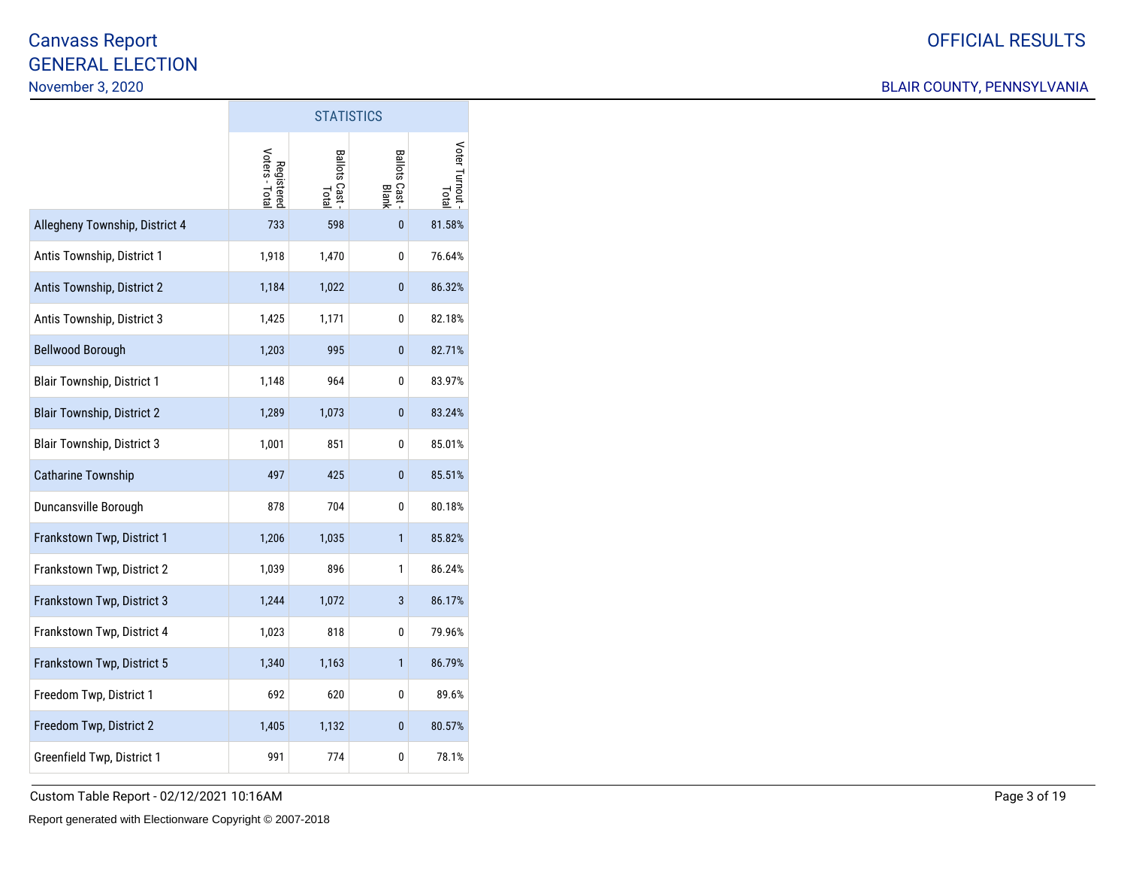### BLAIR COUNTY, PENNSYLVANIA

|                                   | <b>STATISTICS</b>            |                         |                       |                        |  |  |  |  |  |  |
|-----------------------------------|------------------------------|-------------------------|-----------------------|------------------------|--|--|--|--|--|--|
|                                   | Voters - Total<br>Registered | Ballots Cast -<br>Total | Ballots Cast<br>Blank | Voter Turnout<br>Total |  |  |  |  |  |  |
| Allegheny Township, District 4    | 733                          | 598                     | $\mathbf{0}$          | 81.58%                 |  |  |  |  |  |  |
| Antis Township, District 1        | 1,918                        | 1,470                   | 0                     | 76.64%                 |  |  |  |  |  |  |
| Antis Township, District 2        | 1,184                        | 1,022                   | 0                     | 86.32%                 |  |  |  |  |  |  |
| Antis Township, District 3        | 1,425                        | 1,171                   | 0                     | 82.18%                 |  |  |  |  |  |  |
| <b>Bellwood Borough</b>           | 1,203                        | 995                     | 0                     | 82.71%                 |  |  |  |  |  |  |
| <b>Blair Township, District 1</b> | 1,148                        | 964                     | 0                     | 83.97%                 |  |  |  |  |  |  |
| <b>Blair Township, District 2</b> | 1,289                        | 1,073                   | 0                     | 83.24%                 |  |  |  |  |  |  |
| <b>Blair Township, District 3</b> | 1,001                        | 851                     | 0                     | 85.01%                 |  |  |  |  |  |  |
| <b>Catharine Township</b>         | 497                          | 425                     | $\mathbf{0}$          | 85.51%                 |  |  |  |  |  |  |
| Duncansville Borough              | 878                          | 704                     | 0                     | 80.18%                 |  |  |  |  |  |  |
| Frankstown Twp, District 1        | 1,206                        | 1,035                   | 1                     | 85.82%                 |  |  |  |  |  |  |
| Frankstown Twp, District 2        | 1,039                        | 896                     | 1                     | 86.24%                 |  |  |  |  |  |  |
| Frankstown Twp, District 3        | 1,244                        | 1,072                   | 3                     | 86.17%                 |  |  |  |  |  |  |
| Frankstown Twp, District 4        | 1,023                        | 818                     | 0                     | 79.96%                 |  |  |  |  |  |  |
| Frankstown Twp, District 5        | 1,340                        | 1,163                   | $\mathbf{1}$          | 86.79%                 |  |  |  |  |  |  |
| Freedom Twp, District 1           | 692                          | 620                     | 0                     | 89.6%                  |  |  |  |  |  |  |
| Freedom Twp, District 2           | 1,405                        | 1,132                   | 0                     | 80.57%                 |  |  |  |  |  |  |
| Greenfield Twp, District 1        | 991                          | 774                     | 0                     | 78.1%                  |  |  |  |  |  |  |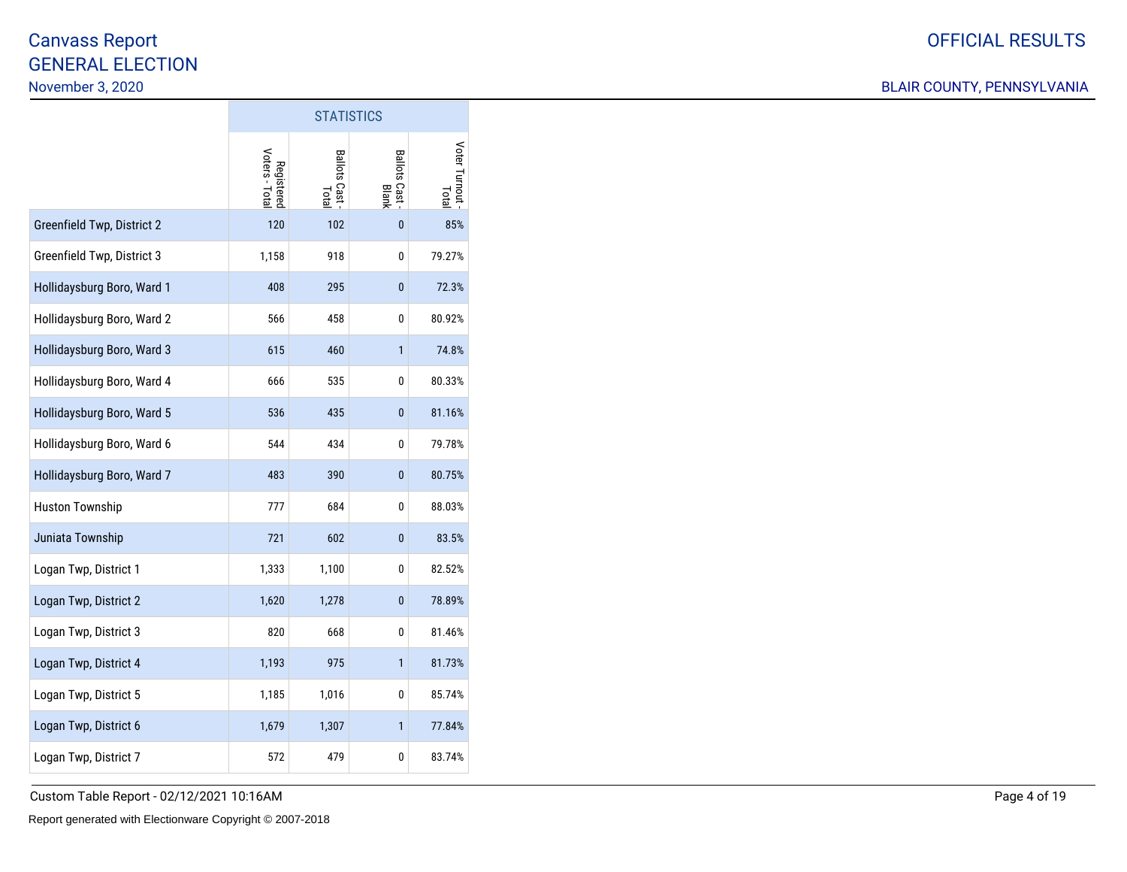|                            | <b>STATISTICS</b>            |                         |                            |                        |  |  |  |  |  |  |
|----------------------------|------------------------------|-------------------------|----------------------------|------------------------|--|--|--|--|--|--|
|                            | Registered<br>Voters - Total | Ballots Cast -<br>Total | Ballots Cast<br>Blots Cast | Voter Turnout<br>Total |  |  |  |  |  |  |
| Greenfield Twp, District 2 | 120                          | 102                     | $\mathbf{0}$               | 85%                    |  |  |  |  |  |  |
| Greenfield Twp, District 3 | 1,158                        | 918                     | 0                          | 79.27%                 |  |  |  |  |  |  |
| Hollidaysburg Boro, Ward 1 | 408                          | 295                     | 0                          | 72.3%                  |  |  |  |  |  |  |
| Hollidaysburg Boro, Ward 2 | 566                          | 458                     | 0                          | 80.92%                 |  |  |  |  |  |  |
| Hollidaysburg Boro, Ward 3 | 615                          | 460                     | $\mathbf{1}$               | 74.8%                  |  |  |  |  |  |  |
| Hollidaysburg Boro, Ward 4 | 666                          | 535                     | 0                          | 80.33%                 |  |  |  |  |  |  |
| Hollidaysburg Boro, Ward 5 | 536                          | 435                     | 0                          | 81.16%                 |  |  |  |  |  |  |
| Hollidaysburg Boro, Ward 6 | 544                          | 434                     | 0                          | 79.78%                 |  |  |  |  |  |  |
| Hollidaysburg Boro, Ward 7 | 483                          | 390                     | 0                          | 80.75%                 |  |  |  |  |  |  |
| <b>Huston Township</b>     | 777                          | 684                     | 0                          | 88.03%                 |  |  |  |  |  |  |
| Juniata Township           | 721                          | 602                     | 0                          | 83.5%                  |  |  |  |  |  |  |
| Logan Twp, District 1      | 1,333                        | 1,100                   | 0                          | 82.52%                 |  |  |  |  |  |  |
| Logan Twp, District 2      | 1,620                        | 1,278                   | 0                          | 78.89%                 |  |  |  |  |  |  |
| Logan Twp, District 3      | 820                          | 668                     | 0                          | 81.46%                 |  |  |  |  |  |  |
| Logan Twp, District 4      | 1,193                        | 975                     | 1                          | 81.73%                 |  |  |  |  |  |  |
| Logan Twp, District 5      | 1,185                        | 1,016                   | 0                          | 85.74%                 |  |  |  |  |  |  |
| Logan Twp, District 6      | 1,679                        | 1,307                   | 1                          | 77.84%                 |  |  |  |  |  |  |
| Logan Twp, District 7      | 572                          | 479                     | 0                          | 83.74%                 |  |  |  |  |  |  |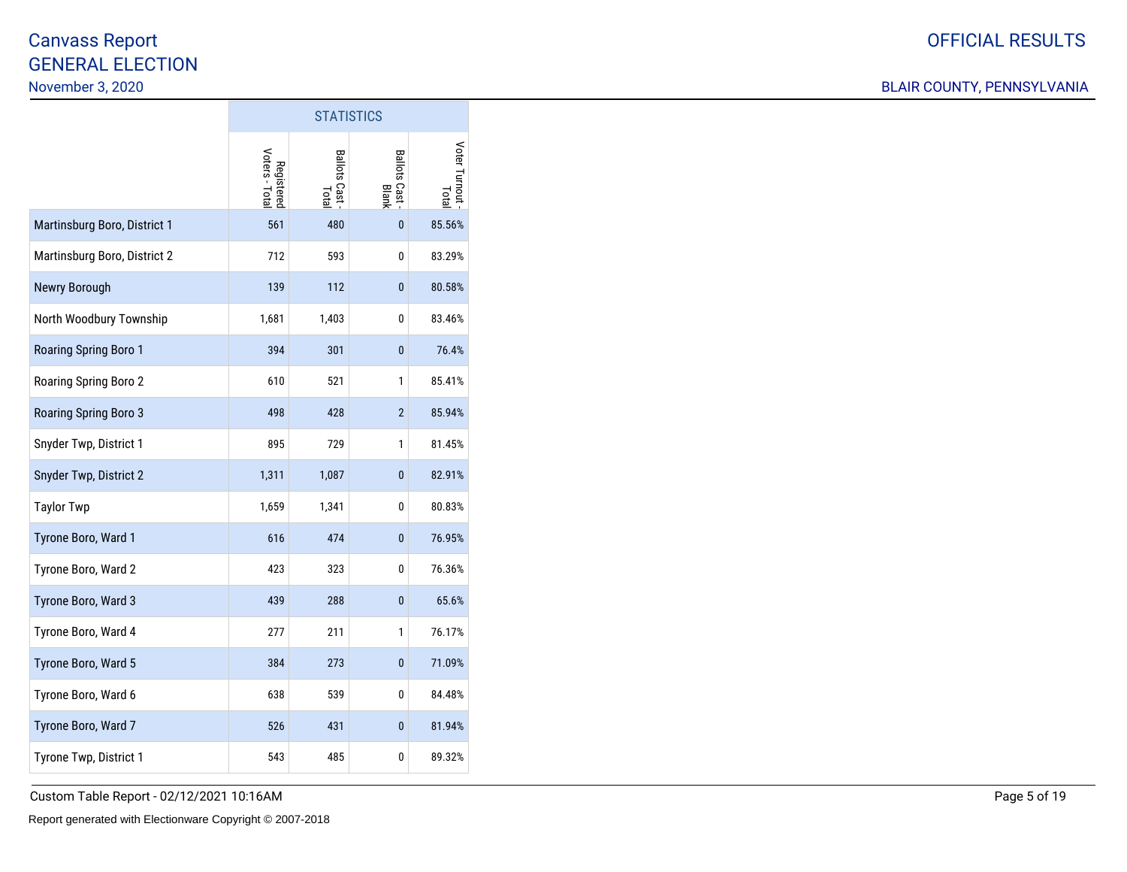### BLAIR COUNTY, PENNSYLVANIA

|                              | <b>STATISTICS</b>            |                         |                              |                       |  |  |  |  |  |  |  |  |
|------------------------------|------------------------------|-------------------------|------------------------------|-----------------------|--|--|--|--|--|--|--|--|
|                              | Voters - Total<br>Registered | Ballots Cast -<br>Total | <b>Ballots Cast</b><br>Blank | Voter Turnout<br>Tota |  |  |  |  |  |  |  |  |
| Martinsburg Boro, District 1 | 561                          | 480                     | 0                            | 85.56%                |  |  |  |  |  |  |  |  |
| Martinsburg Boro, District 2 | 712                          | 593                     | 0                            | 83.29%                |  |  |  |  |  |  |  |  |
| Newry Borough                | 139                          | 112                     | 0                            | 80.58%                |  |  |  |  |  |  |  |  |
| North Woodbury Township      | 1,681                        | 1,403                   | 0                            | 83.46%                |  |  |  |  |  |  |  |  |
| Roaring Spring Boro 1        | 394                          | 301                     | 0                            | 76.4%                 |  |  |  |  |  |  |  |  |
| Roaring Spring Boro 2        | 610                          | 521                     | 1                            | 85.41%                |  |  |  |  |  |  |  |  |
| Roaring Spring Boro 3        | 498                          | 428                     | $\overline{2}$               | 85.94%                |  |  |  |  |  |  |  |  |
| Snyder Twp, District 1       | 895                          | 729                     | 1                            | 81.45%                |  |  |  |  |  |  |  |  |
| Snyder Twp, District 2       | 1,311                        | 1,087                   | 0                            | 82.91%                |  |  |  |  |  |  |  |  |
| <b>Taylor Twp</b>            | 1,659                        | 1,341                   | 0                            | 80.83%                |  |  |  |  |  |  |  |  |
| Tyrone Boro, Ward 1          | 616                          | 474                     | 0                            | 76.95%                |  |  |  |  |  |  |  |  |
| Tyrone Boro, Ward 2          | 423                          | 323                     | 0                            | 76.36%                |  |  |  |  |  |  |  |  |
| Tyrone Boro, Ward 3          | 439                          | 288                     | $\mathbf{0}$                 | 65.6%                 |  |  |  |  |  |  |  |  |
| Tyrone Boro, Ward 4          | 277                          | 211                     | 1                            | 76.17%                |  |  |  |  |  |  |  |  |
| Tyrone Boro, Ward 5          | 384                          | 273                     | 0                            | 71.09%                |  |  |  |  |  |  |  |  |
| Tyrone Boro, Ward 6          | 638                          | 539                     | 0                            | 84.48%                |  |  |  |  |  |  |  |  |
| Tyrone Boro, Ward 7          | 526                          | 431                     | 0                            | 81.94%                |  |  |  |  |  |  |  |  |
| Tyrone Twp, District 1       | 543                          | 485                     | 0                            | 89.32%                |  |  |  |  |  |  |  |  |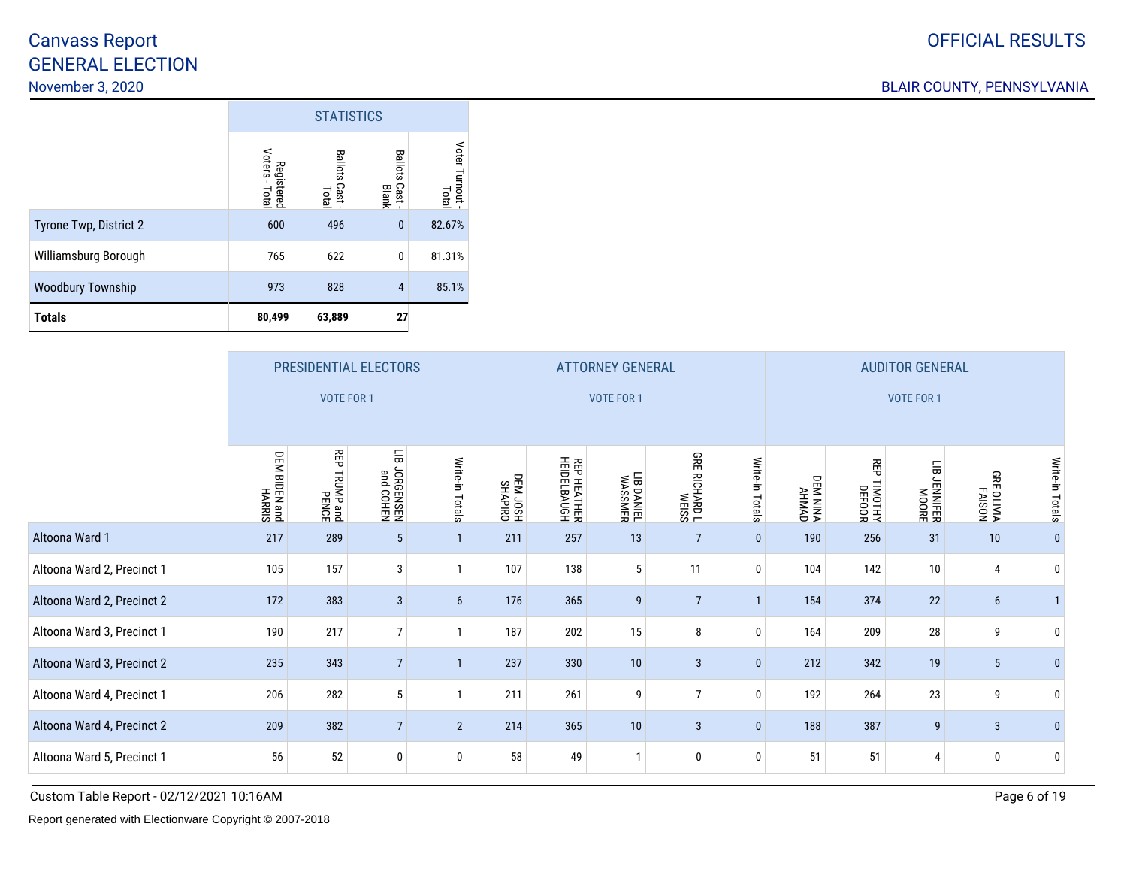|                          |                                            | <b>STATISTICS</b>               |                                 |                          |  |  |  |  |  |  |  |
|--------------------------|--------------------------------------------|---------------------------------|---------------------------------|--------------------------|--|--|--|--|--|--|--|
|                          | Voters<br>Registered<br>$\bullet$<br>Total | <b>Ballots</b><br>Cast<br>Total | <b>Ballots</b><br>Cast<br>Blank | Voter Turnout -<br>Total |  |  |  |  |  |  |  |
| Tyrone Twp, District 2   | 600                                        | 496                             | $\mathbf{0}$                    | 82.67%                   |  |  |  |  |  |  |  |
| Williamsburg Borough     | 765                                        | 622                             | 0                               | 81.31%                   |  |  |  |  |  |  |  |
| <b>Woodbury Township</b> | 973                                        | 828                             | $\overline{4}$                  | 85.1%                    |  |  |  |  |  |  |  |
| <b>Totals</b>            | 80,499                                     | 63,889                          | 27                              |                          |  |  |  |  |  |  |  |

|                            | PRESIDENTIAL ELECTORS   |                          |                            |                 |                      |                                   | <b>ATTORNEY GENERAL</b> |                                         |                 | <b>AUDITOR GENERAL</b> |                        |                        |                       |                 |  |
|----------------------------|-------------------------|--------------------------|----------------------------|-----------------|----------------------|-----------------------------------|-------------------------|-----------------------------------------|-----------------|------------------------|------------------------|------------------------|-----------------------|-----------------|--|
|                            |                         | <b>VOTE FOR 1</b>        |                            |                 |                      |                                   | <b>VOTE FOR 1</b>       |                                         |                 | <b>VOTE FOR 1</b>      |                        |                        |                       |                 |  |
|                            | DEM BIDEN and<br>HARRIS | 쯳<br>PENDAP and<br>PENCE | 듦<br>NHOO pue<br>NHSN3980C | Write-in Totals | OBILAYHS<br>HSOL MED | <b>REP HEATHER</b><br>HEIDELBAUGH | LIB DANIEL<br>WASSMER   | <b>GRE</b><br><b>SSIBM</b><br>TOCHARD T | Write-in Totals | DEM NINA<br>AHMAD      | 召<br>TIMOTHY<br>DEFOOR | 듦<br>JENNIFER<br>MOORE | NOSIY-I<br>VIATIO 389 | Write-in Totals |  |
| Altoona Ward 1             | 217                     | 289                      | $5\phantom{.0}$            |                 | 211                  | 257                               | 13                      | $\overline{7}$                          | $\pmb{0}$       | 190                    | 256                    | 31                     | 10                    | $\mathbf{0}$    |  |
| Altoona Ward 2, Precinct 1 | 105                     | 157                      | 3                          |                 | 107                  | 138                               | 5                       | 11                                      | 0               | 104                    | 142                    | 10                     | $\overline{4}$        | 0               |  |
| Altoona Ward 2, Precinct 2 | 172                     | 383                      | $\mathbf{3}$               | 6               | 176                  | 365                               | 9                       | $\overline{7}$                          | $\mathbf{1}$    | 154                    | 374                    | 22                     | 6                     |                 |  |
| Altoona Ward 3, Precinct 1 | 190                     | 217                      | $\overline{7}$             |                 | 187                  | 202                               | 15                      | 8                                       | 0               | 164                    | 209                    | 28                     | 9                     | 0               |  |
| Altoona Ward 3, Precinct 2 | 235                     | 343                      | $\overline{7}$             |                 | 237                  | 330                               | 10                      | 3                                       | $\pmb{0}$       | 212                    | 342                    | 19                     | 5                     | $\mathbf{0}$    |  |
| Altoona Ward 4, Precinct 1 | 206                     | 282                      | 5                          |                 | 211                  | 261                               | 9                       | $\overline{7}$                          | 0               | 192                    | 264                    | 23                     | 9                     | 0               |  |
| Altoona Ward 4, Precinct 2 | 209                     | 382                      | $\overline{7}$             | $\overline{2}$  | 214                  | 365                               | 10                      | 3                                       | $\pmb{0}$       | 188                    | 387                    | 9                      | $\mathbf{3}$          | $\bf{0}$        |  |
| Altoona Ward 5, Precinct 1 | 56                      | 52                       | 0                          | $\mathbf{0}$    | 58                   | 49                                |                         | 0                                       | 0               | 51                     | 51                     | 4                      | 0                     | 0               |  |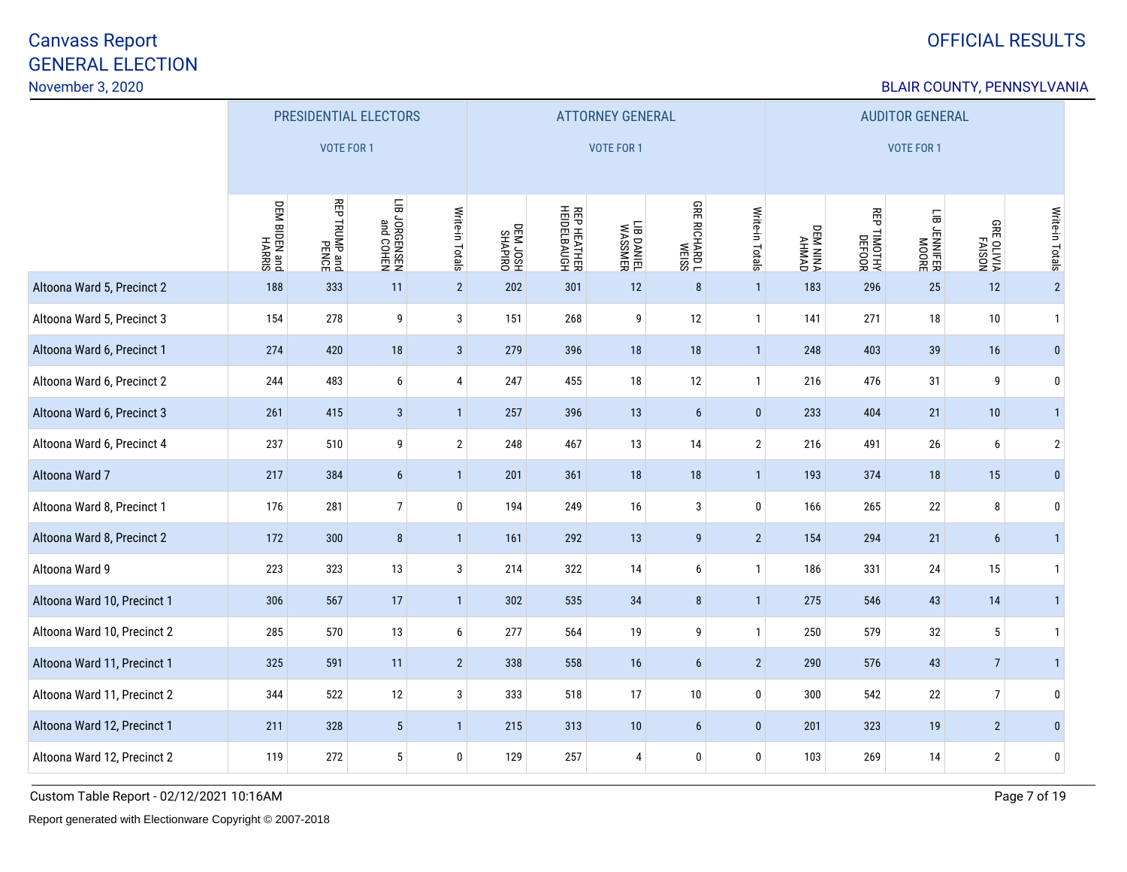# OFFICIAL RESULTS

### BLAIR COUNTY, PENNSYLVANIA

|                             | PRESIDENTIAL ELECTORS       |                      |                            |                 |                     |                                   | <b>ATTORNEY GENERAL</b> |                      |                 | <b>AUDITOR GENERAL</b> |             |                              |                                     |                 |
|-----------------------------|-----------------------------|----------------------|----------------------------|-----------------|---------------------|-----------------------------------|-------------------------|----------------------|-----------------|------------------------|-------------|------------------------------|-------------------------------------|-----------------|
|                             |                             | <b>VOTE FOR 1</b>    |                            |                 |                     |                                   | <b>VOTE FOR 1</b>       |                      |                 | <b>VOTE FOR 1</b>      |             |                              |                                     |                 |
|                             | DEM BIDEN and<br>Dem HARRIS | <b>REP TRUMP and</b> | N3HOO pue<br>N3SN3DAOC 811 | Write-in Totals | DRIAMES<br>HROL MED | <b>REP HEATHER</b><br>HEIDELBAUGH | LIB DANIEL<br>WASSMER   | <b>GRE RICHARD L</b> | Write-in Totals | DEM NINA<br>AHMAD      | REP TIMOTHY | LIB JENNIFER<br>HIB JENNIFER | <b>GRE OLIVIA</b><br>AISON<br>AISON | Write-in Totals |
| Altoona Ward 5, Precinct 2  | 188                         | 333                  | 11                         | $\overline{2}$  | 202                 | 301                               | 12                      | $\bf 8$              | $\mathbf{1}$    | 183                    | 296         | 25                           | 12                                  | $\overline{2}$  |
| Altoona Ward 5, Precinct 3  | 154                         | 278                  | 9                          | 3               | 151                 | 268                               | 9                       | 12                   | $\mathbf{1}$    | 141                    | 271         | $18\,$                       | 10                                  | $\mathbf{1}$    |
| Altoona Ward 6, Precinct 1  | 274                         | 420                  | $18\,$                     | $\mathbf{3}$    | 279                 | 396                               | 18                      | 18                   | $\overline{1}$  | 248                    | 403         | 39                           | 16                                  | $\bf{0}$        |
| Altoona Ward 6, Precinct 2  | 244                         | 483                  | $\boldsymbol{6}$           | 4               | 247                 | 455                               | $18\,$                  | 12                   | $\mathbf{1}$    | 216                    | 476         | 31                           | 9                                   | 0               |
| Altoona Ward 6, Precinct 3  | 261                         | 415                  | $\sqrt{3}$                 | $\mathbf{1}$    | 257                 | 396                               | 13                      | $\boldsymbol{6}$     | $\bf{0}$        | 233                    | 404         | 21                           | 10                                  | $\mathbf{1}$    |
| Altoona Ward 6, Precinct 4  | 237                         | 510                  | 9                          | $\mathbf{2}$    | 248                 | 467                               | 13                      | 14                   | $\overline{2}$  | 216                    | 491         | 26                           | 6                                   | $\sqrt{2}$      |
| Altoona Ward 7              | 217                         | 384                  | $6\phantom{.}6$            | $\mathbf{1}$    | 201                 | 361                               | 18                      | 18                   | $\mathbf{1}$    | 193                    | 374         | 18                           | 15                                  | $\mathbf{0}$    |
| Altoona Ward 8, Precinct 1  | 176                         | 281                  | $\overline{7}$             | 0               | 194                 | 249                               | 16                      | $\mathbf{3}$         | $\mathbf 0$     | 166                    | 265         | $22\,$                       | 8                                   | 0               |
| Altoona Ward 8, Precinct 2  | 172                         | 300                  | 8                          | 1               | 161                 | 292                               | 13                      | $\boldsymbol{9}$     | $\overline{2}$  | 154                    | 294         | 21                           | $6\phantom{.}6$                     | $\mathbf{1}$    |
| Altoona Ward 9              | 223                         | 323                  | $13\,$                     | $\mathbf{3}$    | 214                 | 322                               | 14                      | 6                    | $\mathbf{1}$    | 186                    | 331         | 24                           | 15                                  | $\mathbf{1}$    |
| Altoona Ward 10, Precinct 1 | 306                         | 567                  | 17                         | $\mathbf{1}$    | 302                 | 535                               | 34                      | 8                    | $\mathbf{1}$    | 275                    | 546         | 43                           | 14                                  | $\mathbf{1}$    |
| Altoona Ward 10, Precinct 2 | 285                         | 570                  | 13                         | 6               | 277                 | 564                               | 19                      | 9                    | $\mathbf{1}$    | 250                    | 579         | 32                           | $5\,$                               | $\mathbf{1}$    |
| Altoona Ward 11, Precinct 1 | 325                         | 591                  | 11                         | $2^{\circ}$     | 338                 | 558                               | 16                      | $\boldsymbol{6}$     | $\overline{2}$  | 290                    | 576         | 43                           | $\overline{7}$                      | $\mathbf{1}$    |
| Altoona Ward 11, Precinct 2 | 344                         | 522                  | 12                         | $\mathbf{3}$    | 333                 | 518                               | 17                      | 10                   | $\pmb{0}$       | 300                    | 542         | $22\,$                       | $\boldsymbol{7}$                    | 0               |
| Altoona Ward 12, Precinct 1 | 211                         | 328                  | $5\phantom{.0}$            | $\mathbf{1}$    | 215                 | 313                               | $10$                    | 6                    | $\bf{0}$        | 201                    | 323         | 19                           | $\sqrt{2}$                          | $\mathbf{0}$    |
| Altoona Ward 12, Precinct 2 | 119                         | 272                  | $5\phantom{.0}$            | $\mathbf 0$     | 129                 | 257                               | 4                       | $\bf{0}$             | $\pmb{0}$       | 103                    | 269         | 14                           | $\overline{2}$                      | 0               |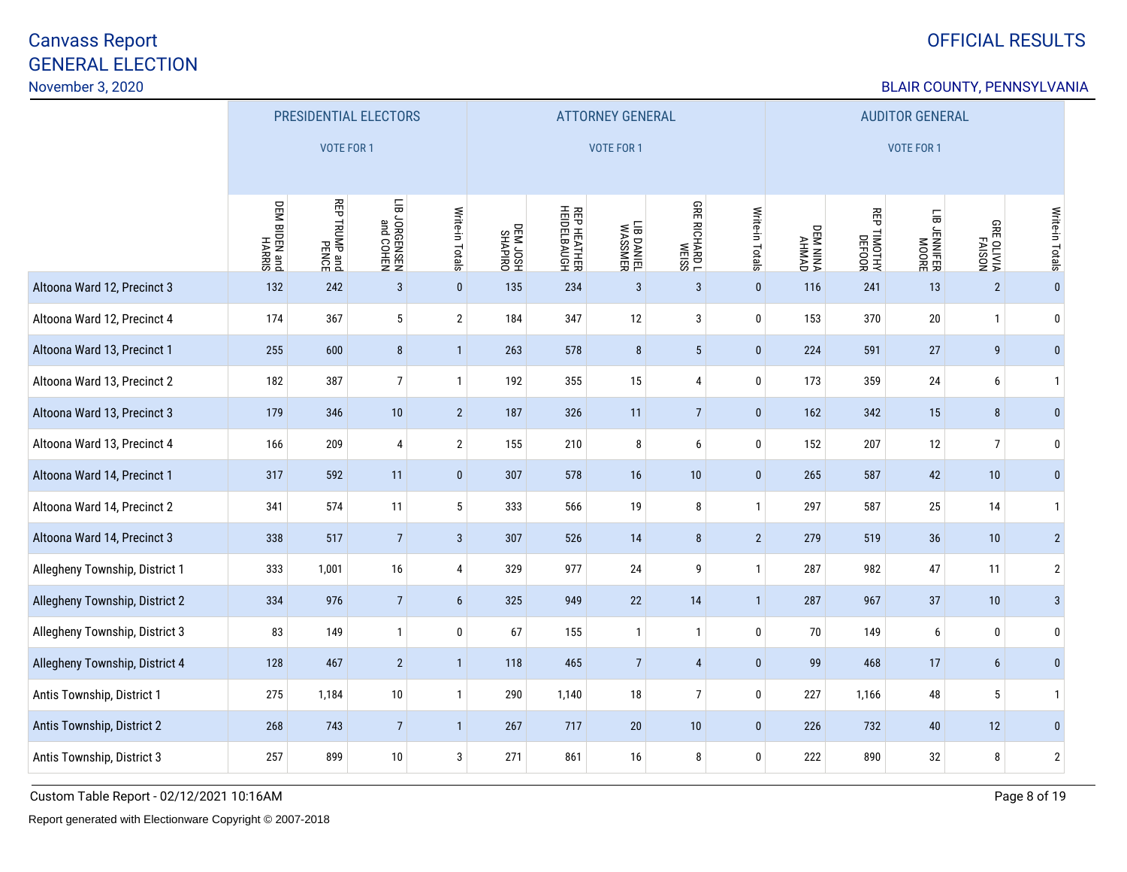# OFFICIAL RESULTS

### BLAIR COUNTY, PENNSYLVANIA

|                                | PRESIDENTIAL ELECTORS       |                      |                            |                 |                      |                                   | <b>ATTORNEY GENERAL</b> |                      |                 | <b>AUDITOR GENERAL</b> |                       |                          |                                    |                 |  |
|--------------------------------|-----------------------------|----------------------|----------------------------|-----------------|----------------------|-----------------------------------|-------------------------|----------------------|-----------------|------------------------|-----------------------|--------------------------|------------------------------------|-----------------|--|
|                                |                             | <b>VOTE FOR 1</b>    |                            |                 |                      |                                   | <b>VOTE FOR 1</b>       |                      |                 | VOTE FOR 1             |                       |                          |                                    |                 |  |
|                                | DEM BIDEN and<br>Dem HARRIS | <b>REP TRUMP and</b> | N3HOO pue<br>N3SN3DNOC 8IT | Write-in Totals | DEM JOSH<br>HSOL MED | <b>REP HEATHER</b><br>HEIDELBAUGH | LIB DANIEL<br>WASSMER   | <b>GRE RICHARD L</b> | Write-in Totals | DEM NINA<br>AHMAD      | REP TIMOTHY<br>DEFOOR | LIB JENNIFER<br>RIJANIER | <b>USIYE</b><br>PAISON<br>MATO 389 | Write-in Totals |  |
| Altoona Ward 12, Precinct 3    | 132                         | 242                  | $\sqrt{3}$                 | $\pmb{0}$       | 135                  | 234                               | $\overline{3}$          | $\mathbf{3}$         | $\mathbf 0$     | 116                    | 241                   | 13                       | $\sqrt{2}$                         | $\pmb{0}$       |  |
| Altoona Ward 12, Precinct 4    | 174                         | 367                  | $5\phantom{.0}$            | $\overline{2}$  | 184                  | 347                               | 12                      | $\sqrt{3}$           | $\mathbf{0}$    | 153                    | 370                   | $20\,$                   | $\mathbf{1}$                       | $\bm{0}$        |  |
| Altoona Ward 13, Precinct 1    | 255                         | 600                  | $\bf 8$                    | $\mathbf{1}$    | 263                  | 578                               | $\bf 8$                 | $5\,$                | $\pmb{0}$       | 224                    | 591                   | 27                       | 9                                  | $\bf{0}$        |  |
| Altoona Ward 13, Precinct 2    | 182                         | 387                  | $\boldsymbol{7}$           | $\mathbf{1}$    | 192                  | 355                               | 15                      | $\pmb{4}$            | $\pmb{0}$       | 173                    | 359                   | 24                       | 6                                  | $\overline{1}$  |  |
| Altoona Ward 13, Precinct 3    | 179                         | 346                  | $10$                       | $2^{\circ}$     | 187                  | 326                               | 11                      | $7\overline{ }$      | $\pmb{0}$       | 162                    | 342                   | 15                       | 8                                  | $\bf{0}$        |  |
| Altoona Ward 13, Precinct 4    | 166                         | 209                  | $\overline{4}$             | $\overline{2}$  | 155                  | 210                               | 8                       | $\boldsymbol{6}$     | $\mathbf{0}$    | 152                    | 207                   | 12                       | $\overline{7}$                     | $\mathbf 0$     |  |
| Altoona Ward 14, Precinct 1    | 317                         | 592                  | 11                         | $\pmb{0}$       | 307                  | 578                               | 16                      | $10$                 | $\pmb{0}$       | 265                    | 587                   | 42                       | 10                                 | $\mathbf{0}$    |  |
| Altoona Ward 14, Precinct 2    | 341                         | 574                  | 11                         | 5               | 333                  | 566                               | 19                      | $\bf 8$              | 1               | 297                    | 587                   | 25                       | 14                                 | $\overline{1}$  |  |
| Altoona Ward 14, Precinct 3    | 338                         | 517                  | $\overline{7}$             | $\mathbf{3}$    | 307                  | 526                               | 14                      | 8                    | $\overline{2}$  | 279                    | 519                   | 36                       | 10                                 | $2^{\circ}$     |  |
| Allegheny Township, District 1 | 333                         | 1,001                | 16                         | $\overline{4}$  | 329                  | 977                               | 24                      | 9                    | $\mathbf{1}$    | 287                    | 982                   | 47                       | 11                                 | $\sqrt{2}$      |  |
| Allegheny Township, District 2 | 334                         | 976                  | $\overline{7}$             | 6               | 325                  | 949                               | 22                      | 14                   | $\mathbf{1}$    | 287                    | 967                   | 37                       | 10                                 | $\mathbf{3}$    |  |
| Allegheny Township, District 3 | 83                          | 149                  | $\mathbf{1}$               | $\bf{0}$        | 67                   | 155                               | $\mathbf{1}$            | $\mathbf{1}$         | $\pmb{0}$       | 70                     | 149                   | 6                        | 0                                  | $\bm{0}$        |  |
| Allegheny Township, District 4 | 128                         | 467                  | $\overline{2}$             | $\mathbf{1}$    | 118                  | 465                               | $\overline{7}$          | $\overline{4}$       | $\pmb{0}$       | 99                     | 468                   | 17                       | $6\phantom{.}$                     | $\bf{0}$        |  |
| Antis Township, District 1     | 275                         | 1,184                | $10$                       | $\mathbf{1}$    | 290                  | 1,140                             | $18\,$                  | $7\overline{ }$      | $\pmb{0}$       | 227                    | 1,166                 | 48                       | 5                                  | $\overline{1}$  |  |
| Antis Township, District 2     | 268                         | 743                  | $\overline{7}$             | $\mathbf{1}$    | 267                  | 717                               | 20                      | $10$                 | $\pmb{0}$       | 226                    | 732                   | 40                       | 12                                 | $\mathbf{0}$    |  |
| Antis Township, District 3     | 257                         | 899                  | $10$                       | $\mathbf{3}$    | 271                  | 861                               | 16                      | 8                    | $\pmb{0}$       | 222                    | 890                   | 32                       | 8                                  | $\sqrt{2}$      |  |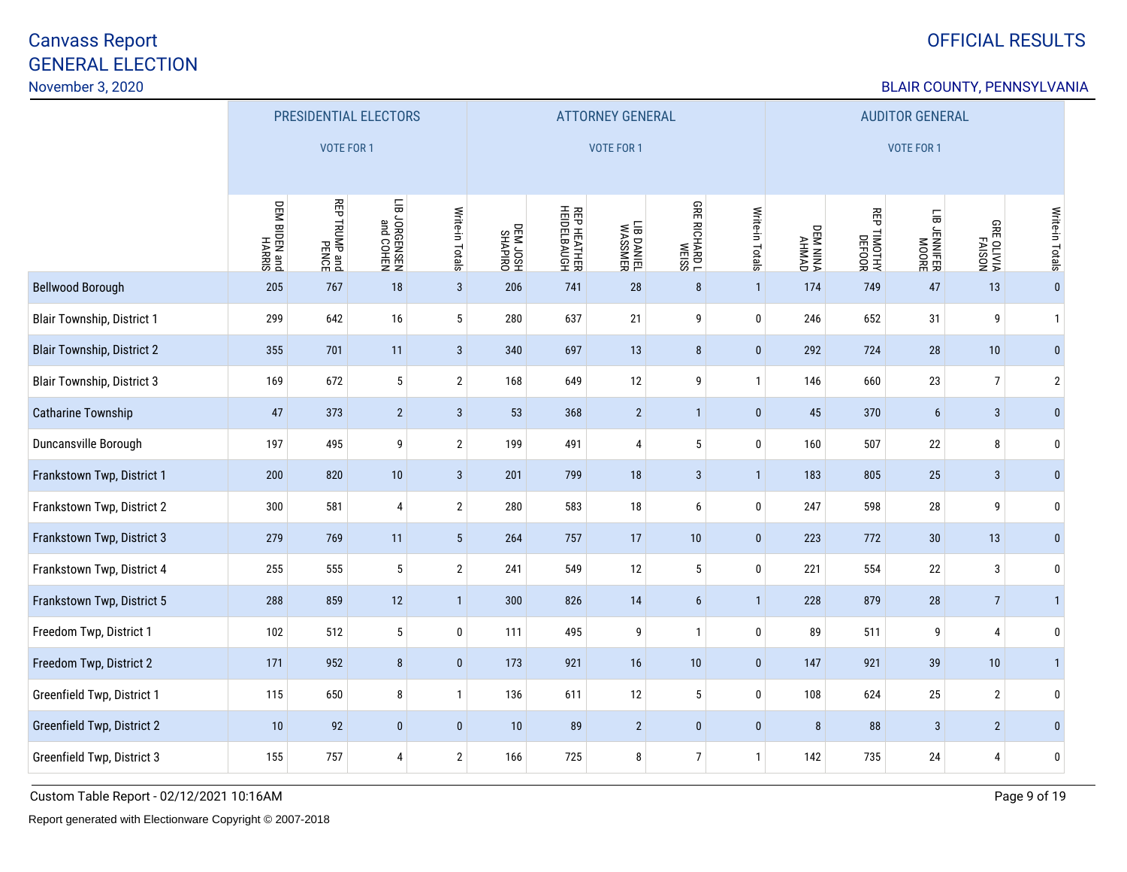# OFFICIAL RESULTS

### BLAIR COUNTY, PENNSYLVANIA

|                                   | PRESIDENTIAL ELECTORS       |                               |                                       |                 |                      | <b>ATTORNEY GENERAL</b>           |                       |                      | <b>AUDITOR GENERAL</b> |                   |             |                              |                                     |                 |
|-----------------------------------|-----------------------------|-------------------------------|---------------------------------------|-----------------|----------------------|-----------------------------------|-----------------------|----------------------|------------------------|-------------------|-------------|------------------------------|-------------------------------------|-----------------|
|                                   |                             | <b>VOTE FOR 1</b>             |                                       |                 |                      |                                   | VOTE FOR 1            |                      |                        | <b>VOTE FOR 1</b> |             |                              |                                     |                 |
|                                   | DEM BIDEN and<br>Dem HARRIS | <b>REP TRUMP and</b><br>PENCE | NHOO Pue<br>NHOO Pue<br>NHSNHSNOC 811 | Write-in Totals | DEM JOSH<br>HSOL M30 | <b>REP HEATHER</b><br>HEIDELBAUGH | LIB DANIEL<br>WASSMER | <b>GRE RICHARD L</b> | Write-in Totals        | DEM NINA<br>AHMAD | REP TIMOTHY | LIB JENNIFER<br>HIB JENNIFER | <b>GRE OLIVIA</b><br>AISON<br>AISON | Write-in Totals |
| <b>Bellwood Borough</b>           | 205                         | 767                           | 18                                    | 3 <sup>2</sup>  | 206                  | 741                               | 28                    | $\bf 8$              | $\mathbf{1}$           | 174               | 749         | 47                           | 13                                  | $\bf{0}$        |
| <b>Blair Township, District 1</b> | 299                         | 642                           | 16                                    | 5               | 280                  | 637                               | 21                    | 9                    | $\bf 0$                | 246               | 652         | 31                           | 9                                   | $\mathbf{1}$    |
| <b>Blair Township, District 2</b> | 355                         | 701                           | 11                                    | $\mathbf{3}$    | 340                  | 697                               | 13                    | $\bf 8$              | $\pmb{0}$              | 292               | 724         | 28                           | 10                                  | $\pmb{0}$       |
| <b>Blair Township, District 3</b> | 169                         | 672                           | $\sqrt{5}$                            | $\overline{2}$  | 168                  | 649                               | 12                    | 9                    | $\mathbf{1}$           | 146               | 660         | 23                           | $\overline{7}$                      | $\overline{2}$  |
| Catharine Township                | 47                          | 373                           | $\overline{2}$                        | $\mathbf{3}$    | 53                   | 368                               | $\overline{2}$        | $\mathbf{1}$         | $\pmb{0}$              | 45                | 370         | $6\phantom{a}$               | 3                                   | $\pmb{0}$       |
| Duncansville Borough              | 197                         | 495                           | 9                                     | $\overline{2}$  | 199                  | 491                               | 4                     | $\sqrt{5}$           | $\mathbf 0$            | 160               | 507         | $22\,$                       | 8                                   | 0               |
| Frankstown Twp, District 1        | 200                         | 820                           | $10$                                  | $\mathbf{3}$    | 201                  | 799                               | 18                    | $\sqrt{3}$           | $\mathbf{1}$           | 183               | 805         | 25                           | 3                                   | $\mathbf{0}$    |
| Frankstown Twp, District 2        | 300                         | 581                           | $\overline{4}$                        | $\overline{2}$  | 280                  | 583                               | 18                    | 6                    | $\mathbf 0$            | 247               | 598         | 28                           | 9                                   | 0               |
| Frankstown Twp, District 3        | 279                         | 769                           | 11                                    | $5\phantom{.0}$ | 264                  | 757                               | 17                    | $10$                 | $\pmb{0}$              | 223               | 772         | 30                           | 13                                  | $\mathbf{0}$    |
| Frankstown Twp, District 4        | 255                         | 555                           | $\sqrt{5}$                            | $\overline{2}$  | 241                  | 549                               | 12                    | $\sqrt{5}$           | $\pmb{0}$              | 221               | 554         | $22\,$                       | 3                                   | 0               |
| Frankstown Twp, District 5        | 288                         | 859                           | 12                                    | $\mathbf{1}$    | 300                  | 826                               | 14                    | $\boldsymbol{6}$     | $\mathbf{1}$           | 228               | 879         | $28\,$                       | $\overline{7}$                      | $\mathbf{1}$    |
| Freedom Twp, District 1           | 102                         | 512                           | $5\phantom{.0}$                       | $\bf{0}$        | 111                  | 495                               | 9                     | $\mathbf{1}$         | $\pmb{0}$              | 89                | 511         | 9                            | $\overline{4}$                      | 0               |
| Freedom Twp, District 2           | 171                         | 952                           | $\bf 8$                               | $\bf{0}$        | 173                  | 921                               | 16                    | 10                   | $\bf{0}$               | 147               | 921         | 39                           | 10                                  | $\mathbf{1}$    |
| Greenfield Twp, District 1        | 115                         | 650                           | $\bf 8$                               | $\mathbf{1}$    | 136                  | 611                               | 12                    | $5\,$                | $\pmb{0}$              | 108               | 624         | 25                           | $\sqrt{2}$                          | 0               |
| Greenfield Twp, District 2        | 10                          | 92                            | $\mathbf{0}$                          | $\mathbf 0$     | 10                   | 89                                | $\overline{2}$        | $\pmb{0}$            | $\pmb{0}$              | 8                 | 88          | 3                            | $\overline{2}$                      | $\mathbf{0}$    |
| Greenfield Twp, District 3        | 155                         | 757                           | $\overline{4}$                        | $\overline{2}$  | 166                  | 725                               | 8                     | 7 <sup>1</sup>       | $\mathbf{1}$           | 142               | 735         | 24                           | $\overline{4}$                      | 0               |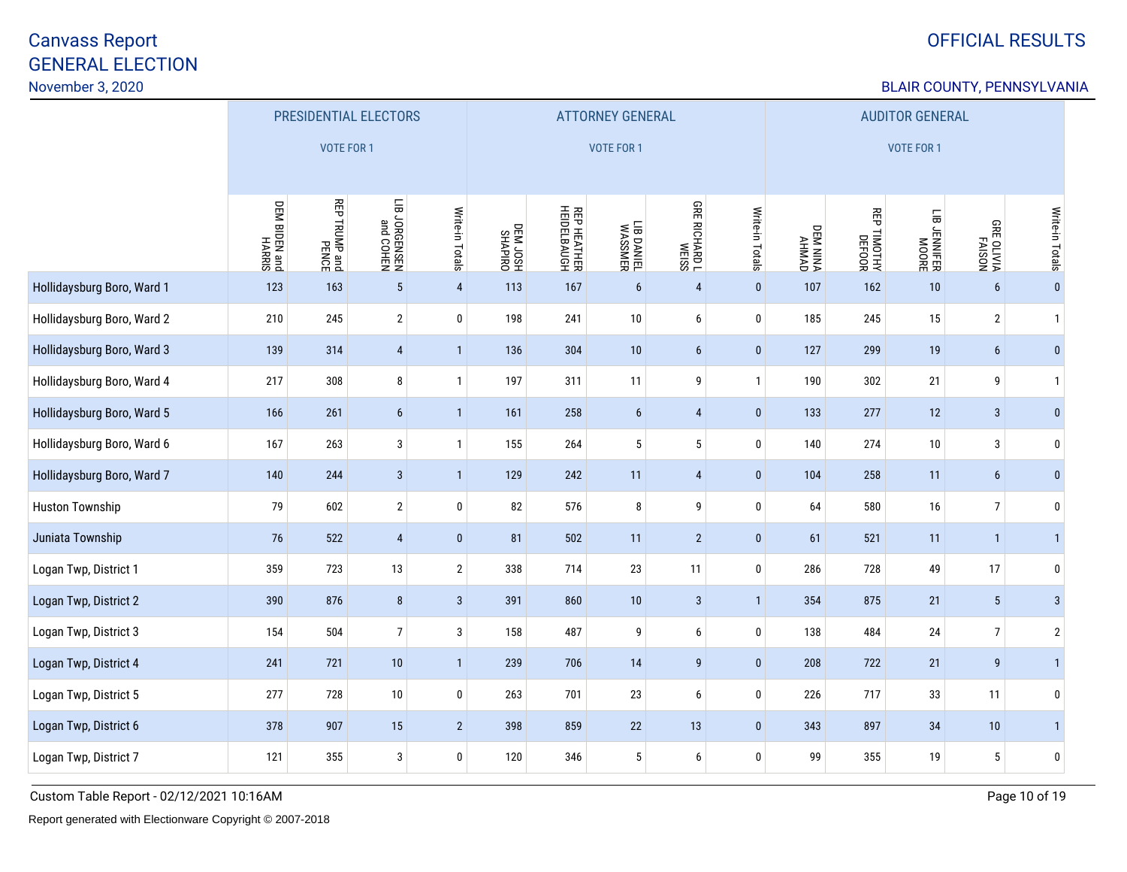# OFFICIAL RESULTS

### BLAIR COUNTY, PENNSYLVANIA

|                            | PRESIDENTIAL ELECTORS   |               |                           |                  |                    |                            | <b>ATTORNEY GENERAL</b> |                      |                 | <b>AUDITOR GENERAL</b>    |                       |                          |                                    |                 |
|----------------------------|-------------------------|---------------|---------------------------|------------------|--------------------|----------------------------|-------------------------|----------------------|-----------------|---------------------------|-----------------------|--------------------------|------------------------------------|-----------------|
|                            |                         | VOTE FOR 1    |                           |                  |                    |                            | VOTE FOR 1              |                      |                 | VOTE FOR 1                |                       |                          |                                    |                 |
|                            | DEM BIDEN and<br>HARRIS | REP TRUMP and | NHOO pue<br>NHSN39800 811 | Write-in Totals  | DHIAMS<br>HSOL M30 | REP HEATHER<br>HEIDELBAUGH | LIB DANIEL<br>WASSMER   | <b>GRE RICHARD L</b> | Write-in Totals | <b>DEM NINAD</b><br>AHMAD | REP TIMOTHY<br>DEFOOR | LIB JENNIFER<br>HEIMIFER | <b>USIYE</b><br>PAISON<br>MATO 389 | Write-in Totals |
| Hollidaysburg Boro, Ward 1 | 123                     | 163           | $\sqrt{5}$                | $\overline{4}$   | 113                | 167                        | $6\phantom{.}$          | $\overline{4}$       | $\pmb{0}$       | 107                       | 162                   | $10$                     | $6\overline{6}$                    | $\pmb{0}$       |
| Hollidaysburg Boro, Ward 2 | 210                     | 245           | $\overline{2}$            | $\pmb{0}$        | 198                | 241                        | $10\,$                  | 6                    | $\pmb{0}$       | 185                       | 245                   | 15                       | $\mathbf{2}$                       | $\overline{1}$  |
| Hollidaysburg Boro, Ward 3 | 139                     | 314           | $\overline{4}$            | $\mathbf{1}$     | 136                | 304                        | 10                      | $6\phantom{a}$       | $\pmb{0}$       | 127                       | 299                   | 19                       | 6                                  | $\bf{0}$        |
| Hollidaysburg Boro, Ward 4 | 217                     | 308           | $\bf 8$                   | $\mathbf{1}$     | 197                | 311                        | 11                      | 9                    | $\mathbf{1}$    | 190                       | 302                   | 21                       | 9                                  | $\overline{1}$  |
| Hollidaysburg Boro, Ward 5 | 166                     | 261           | $\boldsymbol{6}$          | $\mathbf{1}$     | 161                | 258                        | $6\phantom{.}6$         | $\overline{4}$       | $\pmb{0}$       | 133                       | 277                   | 12                       | $\sqrt{3}$                         | $\bf{0}$        |
| Hollidaysburg Boro, Ward 6 | 167                     | 263           | $\sqrt{3}$                | $\mathbf{1}$     | 155                | 264                        | $5\phantom{.0}$         | $\sqrt{5}$           | $\pmb{0}$       | 140                       | 274                   | 10                       | 3                                  | $\pmb{0}$       |
| Hollidaysburg Boro, Ward 7 | 140                     | 244           | $\mathbf{3}$              | $\mathbf{1}$     | 129                | 242                        | 11                      | $\overline{4}$       | $\pmb{0}$       | 104                       | 258                   | 11                       | 6                                  | $\bf{0}$        |
| <b>Huston Township</b>     | 79                      | 602           | $\sqrt{2}$                | $\mathbf 0$      | 82                 | 576                        | 8                       | 9                    | $\pmb{0}$       | 64                        | 580                   | 16                       | $\overline{7}$                     | $\bf{0}$        |
| Juniata Township           | 76                      | 522           | $\overline{4}$            | $\mathbf{0}$     | 81                 | 502                        | 11                      | $\overline{2}$       | $\pmb{0}$       | 61                        | 521                   | 11                       | $\overline{1}$                     | $\mathbf{1}$    |
| Logan Twp, District 1      | 359                     | 723           | 13                        | $\overline{2}$   | 338                | 714                        | 23                      | 11                   | $\pmb{0}$       | 286                       | 728                   | 49                       | 17                                 | $\mathbf 0$     |
| Logan Twp, District 2      | 390                     | 876           | $\bf 8$                   | $\mathbf{3}$     | 391                | 860                        | $10\,$                  | $\mathbf{3}$         | $\mathbf{1}$    | 354                       | 875                   | 21                       | $\sqrt{5}$                         | $\mathbf{3}$    |
| Logan Twp, District 3      | 154                     | 504           | $\boldsymbol{7}$          | 3                | 158                | 487                        | 9                       | 6                    | $\pmb{0}$       | 138                       | 484                   | 24                       | $\overline{7}$                     | $\sqrt{2}$      |
| Logan Twp, District 4      | 241                     | 721           | 10                        | $\mathbf{1}$     | 239                | 706                        | 14                      | 9                    | $\bf{0}$        | 208                       | 722                   | 21                       | 9                                  | $\mathbf{1}$    |
| Logan Twp, District 5      | 277                     | 728           | 10                        | $\boldsymbol{0}$ | 263                | 701                        | 23                      | 6                    | $\pmb{0}$       | 226                       | 717                   | 33                       | 11                                 | $\pmb{0}$       |
| Logan Twp, District 6      | 378                     | 907           | 15                        | $\overline{2}$   | 398                | 859                        | $22\,$                  | 13                   | $\pmb{0}$       | 343                       | 897                   | 34                       | 10                                 | $\vert$         |
| Logan Twp, District 7      | 121                     | 355           | $\mathbf{3}$              | $\mathbf 0$      | 120                | 346                        | 5                       | 6                    | $\pmb{0}$       | 99                        | 355                   | 19                       | $5\,$                              | $\mathbf 0$     |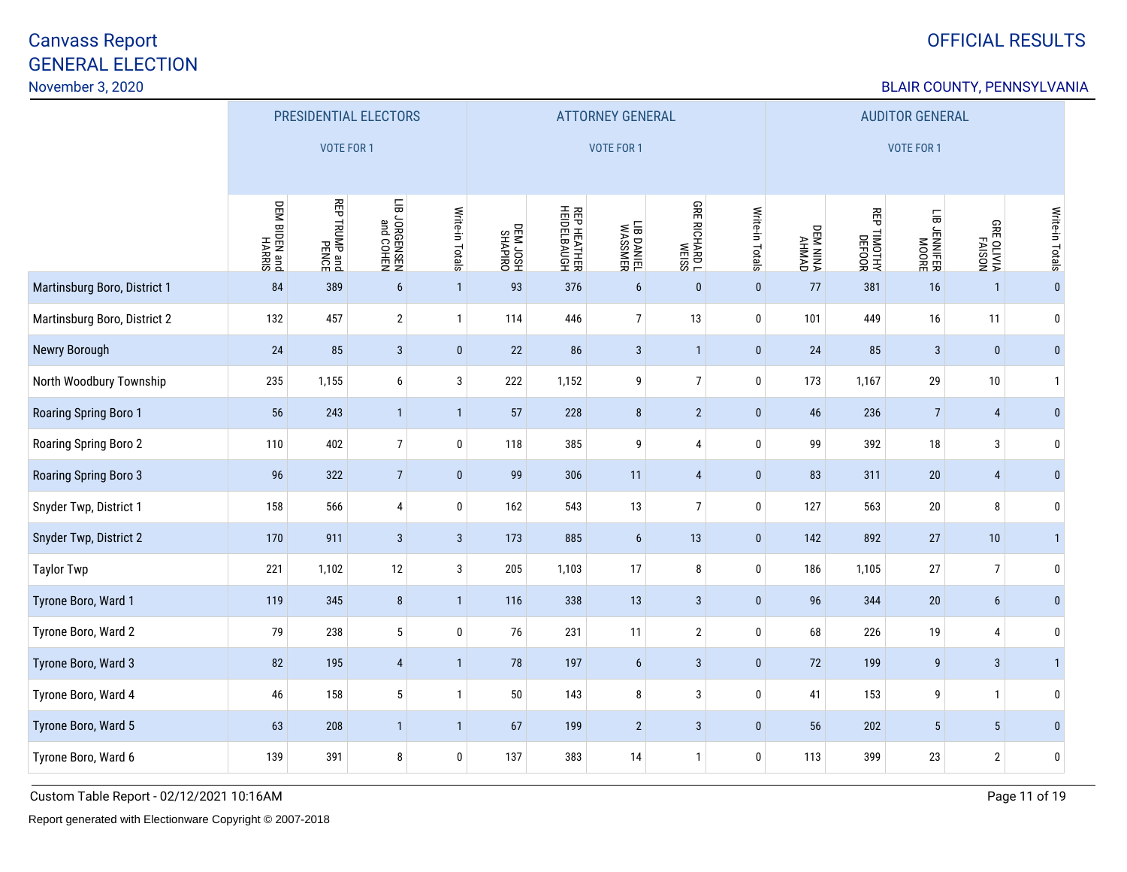# OFFICIAL RESULTS

### BLAIR COUNTY, PENNSYLVANIA

|                              | PRESIDENTIAL ELECTORS           |                               |                           |                 |                     |                            | <b>ATTORNEY GENERAL</b> |                      |                 | <b>AUDITOR GENERAL</b> |             |                              |                                    |                 |
|------------------------------|---------------------------------|-------------------------------|---------------------------|-----------------|---------------------|----------------------------|-------------------------|----------------------|-----------------|------------------------|-------------|------------------------------|------------------------------------|-----------------|
|                              |                                 | VOTE FOR 1                    |                           |                 |                     |                            | <b>VOTE FOR 1</b>       |                      |                 | VOTE FOR 1             |             |                              |                                    |                 |
|                              | <b>DEM BIDEN and<br/>HARRIS</b> | <b>REP TRUMP and</b><br>PENCE | NHOO pue<br>NHSN39800 811 | Write-in Totals | DHIAVHS<br>HSOL M30 | REP HEATHER<br>HEIDELBAUGH | LIB DANIEL<br>WASSMER   | <b>GRE RICHARD L</b> | Write-in Totals | DEM NINA<br>AHMAD      | REP TIMOTHY | LIB JENNIFER<br>HIB JENNIFER | <b>USIYE</b><br>PAISON<br>MATO 389 | Write-in Totals |
| Martinsburg Boro, District 1 | 84                              | 389                           | $6\phantom{1}$            | $\mathbf{1}$    | 93                  | 376                        | $6\phantom{a}$          | $\pmb{0}$            | $\pmb{0}$       | 77                     | 381         | 16                           | $\overline{1}$                     | $\pmb{0}$       |
| Martinsburg Boro, District 2 | 132                             | 457                           | $\overline{2}$            | $\mathbf{1}$    | 114                 | 446                        | $\overline{7}$          | 13                   | $\pmb{0}$       | 101                    | 449         | 16                           | 11                                 | $\mathbf 0$     |
| Newry Borough                | 24                              | 85                            | $\mathbf{3}$              | $\bf{0}$        | 22                  | 86                         | $\mathbf{3}$            | $\mathbf{1}$         | $\pmb{0}$       | 24                     | 85          | $\mathbf{3}$                 | $\pmb{0}$                          | $\bf{0}$        |
| North Woodbury Township      | 235                             | 1,155                         | $\boldsymbol{6}$          | $\mathbf{3}$    | 222                 | 1,152                      | 9                       | $\overline{7}$       | $\pmb{0}$       | 173                    | 1,167       | 29                           | 10                                 | $\overline{1}$  |
| Roaring Spring Boro 1        | 56                              | 243                           | $\mathbf{1}$              | $\mathbf{1}$    | 57                  | 228                        | 8                       | $\overline{2}$       | $\pmb{0}$       | 46                     | 236         | $\overline{7}$               | 4                                  | $\bf{0}$        |
| Roaring Spring Boro 2        | 110                             | 402                           | $\boldsymbol{7}$          | $\pmb{0}$       | 118                 | 385                        | 9                       | $\pmb{4}$            | $\pmb{0}$       | 99                     | 392         | $18\,$                       | 3                                  | 0               |
| Roaring Spring Boro 3        | 96                              | 322                           | $\overline{7}$            | $\mathbf{0}$    | 99                  | 306                        | 11                      | $\overline{4}$       | $\pmb{0}$       | 83                     | 311         | 20                           | 4                                  | $\bf{0}$        |
| Snyder Twp, District 1       | 158                             | 566                           | $\overline{4}$            | $\bf{0}$        | 162                 | 543                        | 13                      | $7\overline{ }$      | $\pmb{0}$       | 127                    | 563         | $20\,$                       | 8                                  | 0               |
| Snyder Twp, District 2       | 170                             | 911                           | $\mathbf{3}$              | $\mathbf{3}$    | 173                 | 885                        | $6\phantom{.}6$         | 13                   | $\pmb{0}$       | 142                    | 892         | $27\,$                       | $10$                               | $\mathbf{1}$    |
| <b>Taylor Twp</b>            | 221                             | 1,102                         | 12                        | $\mathbf{3}$    | 205                 | 1,103                      | $17\,$                  | 8                    | $\bf{0}$        | 186                    | 1,105       | $27\,$                       | $\overline{7}$                     | $\pmb{0}$       |
| Tyrone Boro, Ward 1          | 119                             | 345                           | $\, 8$                    | $\mathbf{1}$    | 116                 | 338                        | 13                      | $\sqrt{3}$           | $\pmb{0}$       | 96                     | 344         | $20\,$                       | 6                                  | $\mathbf{0}$    |
| Tyrone Boro, Ward 2          | 79                              | 238                           | $\sqrt{5}$                | $\pmb{0}$       | 76                  | 231                        | 11                      | $\mathbf{2}$         | $\pmb{0}$       | 68                     | 226         | 19                           | 4                                  | $\mathbf 0$     |
| Tyrone Boro, Ward 3          | 82                              | 195                           | $\overline{4}$            | $\mathbf{1}$    | 78                  | 197                        | $6\phantom{.}$          | $\sqrt{3}$           | $\pmb{0}$       | 72                     | 199         | $\boldsymbol{9}$             | $\sqrt{3}$                         | $\mathbf{1}$    |
| Tyrone Boro, Ward 4          | 46                              | 158                           | $\sqrt{5}$                | $\mathbf{1}$    | $50\,$              | 143                        | 8                       | 3                    | $\pmb{0}$       | 41                     | 153         | 9                            | $\mathbf{1}$                       | $\pmb{0}$       |
| Tyrone Boro, Ward 5          | 63                              | 208                           | $\mathbf{1}$              | $\mathbf{1}$    | 67                  | 199                        | $\overline{2}$          | $\sqrt{3}$           | $\pmb{0}$       | 56                     | 202         | $5\phantom{.0}$              | $5\phantom{.0}$                    | $\mathbf{0}$    |
| Tyrone Boro, Ward 6          | 139                             | 391                           | 8                         | $\mathbf 0$     | 137                 | 383                        | 14                      | 1                    | $\pmb{0}$       | 113                    | 399         | 23                           | $\overline{2}$                     | $\mathbf 0$     |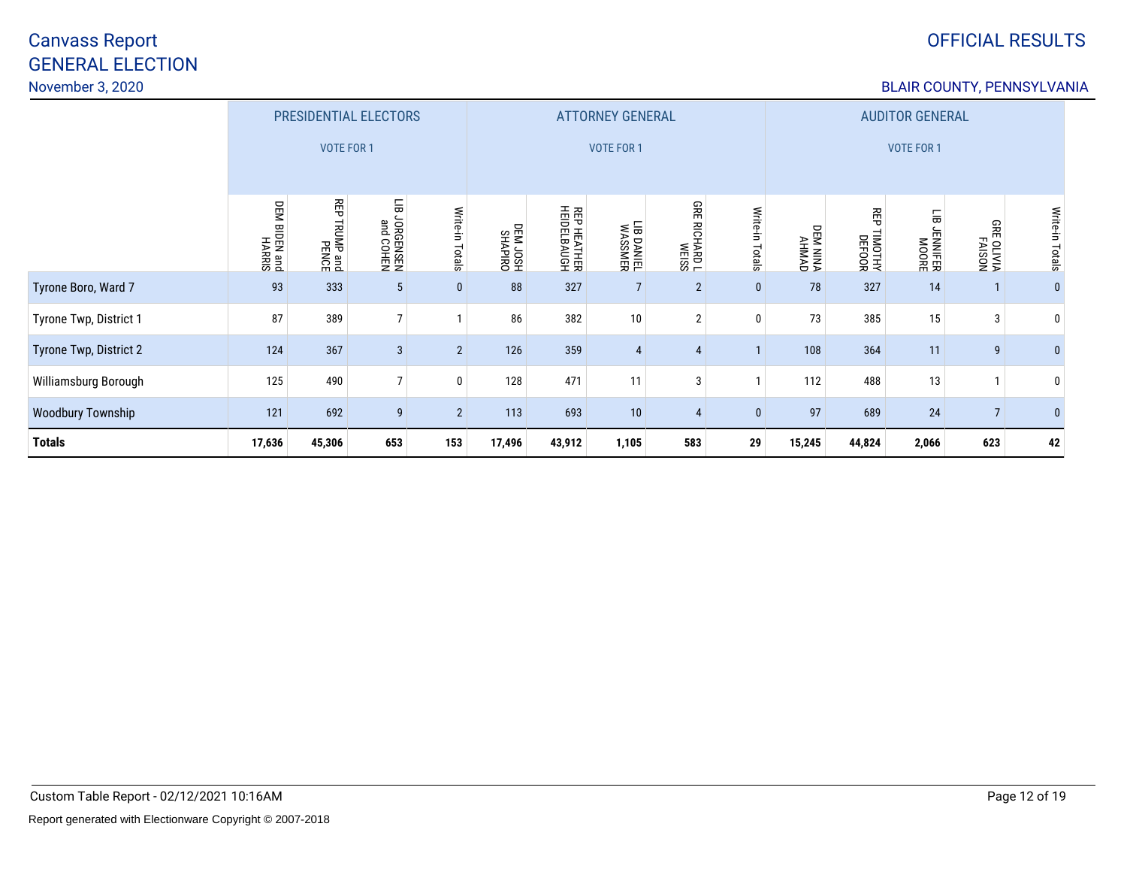# OFFICIAL RESULTS

### BLAIR COUNTY, PENNSYLVANIA

|                          |                            | PRESIDENTIAL ELECTORS   |                             |                 |                      |                            | <b>ATTORNEY GENERAL</b> |                |                 |                         |                        | <b>AUDITOR GENERAL</b>       |                                  |                 |  |  |  |  |
|--------------------------|----------------------------|-------------------------|-----------------------------|-----------------|----------------------|----------------------------|-------------------------|----------------|-----------------|-------------------------|------------------------|------------------------------|----------------------------------|-----------------|--|--|--|--|
|                          |                            | <b>VOTE FOR 1</b>       |                             |                 |                      |                            | <b>VOTE FOR 1</b>       |                |                 |                         |                        | <b>VOTE FOR 1</b>            |                                  |                 |  |  |  |  |
|                          | DEM BIDEN and<br>bin Marki | 召<br>TRUMP and<br>PENCE | 듦<br>JORGENSEN<br>and COHEN | Write-in Totals | DRIVIDEN<br>HSOL MED | REP HEATHER<br>HEIDELBAUGH | LIB DANIEL<br>WASSMER   | GRE RICHARD L  | Write-in Totals | <b>OPINHY<br/>AHMAD</b> | 쯵<br>TIMOTHY<br>DEFOOR | 듦<br><b>LENNIER</b><br>MOORE | <b>GRE</b><br>E OLIVIA<br>FAISON | Write-in Totals |  |  |  |  |
| Tyrone Boro, Ward 7      | 93                         | 333                     | $\sqrt{5}$                  | $\mathbf{0}$    | 88                   | 327                        | 7                       | $\mathbf{2}$   | $\pmb{0}$       | 78                      | 327                    | 14                           |                                  | $\mathbf{0}$    |  |  |  |  |
| Tyrone Twp, District 1   | 87                         | 389                     | $\overline{7}$              |                 | 86                   | 382                        | 10                      | $\overline{2}$ | 0               | 73                      | 385                    | 15                           | 3                                | $\mathbf 0$     |  |  |  |  |
| Tyrone Twp, District 2   | 124                        | 367                     | $\mathbf{3}$                | $\overline{2}$  | 126                  | 359                        | $\overline{4}$          | 4              | $\mathbf{I}$    | 108                     | 364                    | 11                           | 9                                | $\mathbf{0}$    |  |  |  |  |
| Williamsburg Borough     | 125                        | 490                     | $\overline{7}$              | $\mathbf{0}$    | 128                  | 471                        | 11                      | 3              | 1               | 112                     | 488                    | 13                           |                                  | $\bm{0}$        |  |  |  |  |
| <b>Woodbury Township</b> | 121                        | 692                     | 9                           | $\overline{2}$  | 113                  | 693                        | 10                      | 4              | $\bf{0}$        | 97                      | 689                    | 24                           | $\overline{7}$                   | $\mathbf{0}$    |  |  |  |  |
| <b>Totals</b>            | 17,636                     | 45,306                  | 653                         | 153             | 17,496               | 43,912                     | 1,105                   | 583            | 29              | 15,245                  | 44,824                 | 2,066                        | 623                              | 42              |  |  |  |  |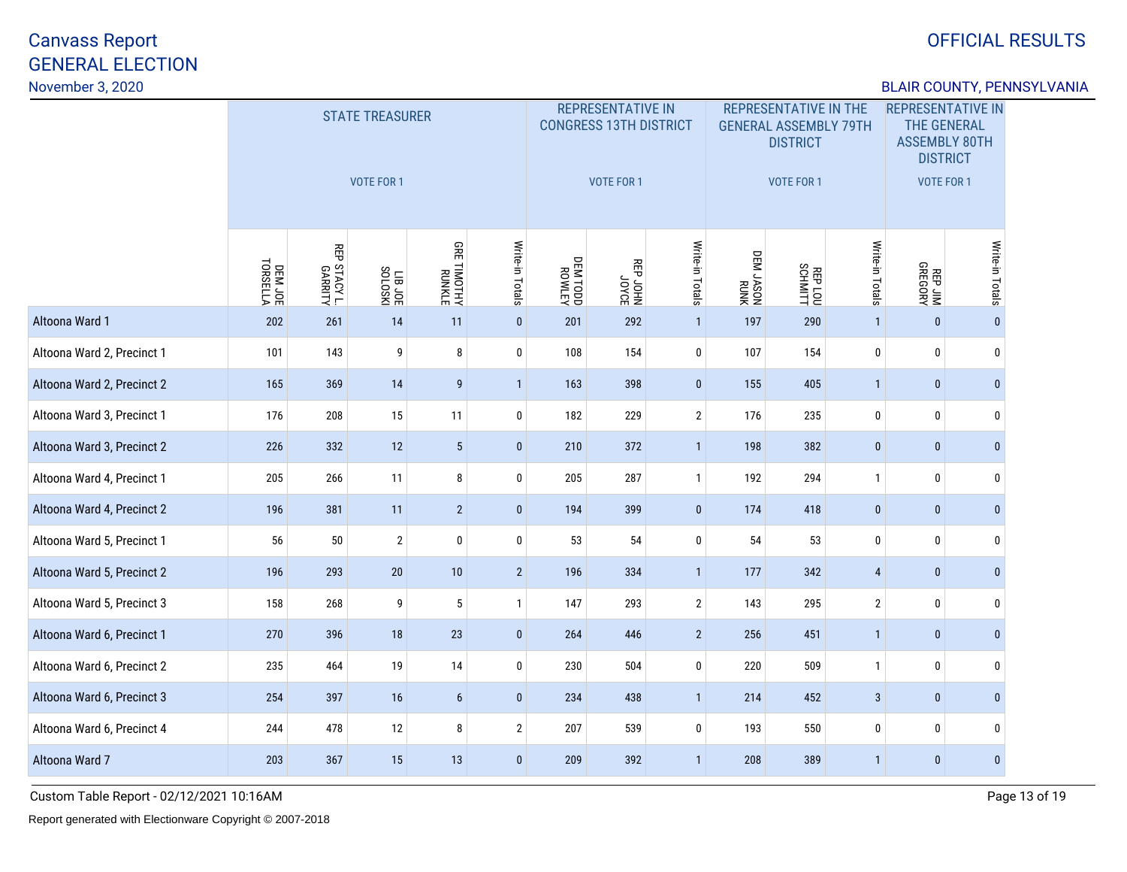## OFFICIAL RESULTS

### BLAIR COUNTY, PENNSYLVANIA

|                            |                     |                         | <b>STATE TREASURER</b><br>VOTE FOR 1 |                              |                 |               | <b>REPRESENTATIVE IN</b><br><b>CONGRESS 13TH DISTRICT</b><br><b>VOTE FOR 1</b> |                 |                   | <b>REPRESENTATIVE IN THE</b><br><b>GENERAL ASSEMBLY 79TH</b><br><b>DISTRICT</b><br><b>VOTE FOR 1</b> |                 | <b>REPRESENTATIVE IN</b><br><b>THE GENERAL</b><br><b>ASSEMBLY 80TH</b><br><b>DISTRICT</b><br><b>VOTE FOR 1</b> |                 |
|----------------------------|---------------------|-------------------------|--------------------------------------|------------------------------|-----------------|---------------|--------------------------------------------------------------------------------|-----------------|-------------------|------------------------------------------------------------------------------------------------------|-----------------|----------------------------------------------------------------------------------------------------------------|-----------------|
|                            | DEM JOE<br>TORSELLA | REP STACY L.<br>GARRITY | LIB JOE<br>SOLOSKI                   | <b>GRE TIMOTHY</b><br>RUNKLE | Write-in Totals | <b>NETWOR</b> | <b>BOAOC</b><br>NHOL GBA                                                       | Write-in Totals | NNNH<br>NOSYL MEO | REPLOU                                                                                               | Write-in Totals | REP JIM<br>GREGORY                                                                                             | Write-in Totals |
| Altoona Ward 1             | 202                 | 261                     | 14                                   | 11                           | $\pmb{0}$       | 201           | 292                                                                            | $\mathbf{1}$    | 197               | 290                                                                                                  | $\overline{1}$  | $\pmb{0}$                                                                                                      | $\mathbf{0}$    |
| Altoona Ward 2, Precinct 1 | 101                 | 143                     | 9                                    | 8                            | $\mathbf 0$     | 108           | 154                                                                            | $\pmb{0}$       | 107               | 154                                                                                                  | $\bf{0}$        | $\bf{0}$                                                                                                       | $\mathbf 0$     |
| Altoona Ward 2, Precinct 2 | 165                 | 369                     | 14                                   | 9                            | $\mathbf{1}$    | 163           | 398                                                                            | $\pmb{0}$       | 155               | 405                                                                                                  | $\overline{1}$  | $\bf{0}$                                                                                                       | $\mathbf{0}$    |
| Altoona Ward 3, Precinct 1 | 176                 | 208                     | 15                                   | 11                           | $\mathbf 0$     | 182           | 229                                                                            | $\mathbf{2}$    | 176               | 235                                                                                                  | $\mathbf 0$     | 0                                                                                                              | $\mathbf 0$     |
| Altoona Ward 3, Precinct 2 | 226                 | 332                     | 12                                   | $5\phantom{.0}$              | $\mathbf{0}$    | 210           | 372                                                                            | $\mathbf{1}$    | 198               | 382                                                                                                  | $\pmb{0}$       | $\pmb{0}$                                                                                                      | $\mathbf{0}$    |
| Altoona Ward 4, Precinct 1 | 205                 | 266                     | 11                                   | $\bf 8$                      | $\mathbf 0$     | 205           | 287                                                                            | $\mathbf{1}$    | 192               | 294                                                                                                  | $\mathbf{1}$    | 0                                                                                                              | $\mathbf 0$     |
| Altoona Ward 4, Precinct 2 | 196                 | 381                     | 11                                   | $\overline{2}$               | $\mathbf{0}$    | 194           | 399                                                                            | $\pmb{0}$       | 174               | 418                                                                                                  | $\pmb{0}$       | $\pmb{0}$                                                                                                      | $\mathbf{0}$    |
| Altoona Ward 5, Precinct 1 | 56                  | $50\,$                  | $\sqrt{2}$                           | $\pmb{0}$                    | $\pmb{0}$       | 53            | 54                                                                             | $\pmb{0}$       | 54                | 53                                                                                                   | $\mathbf 0$     | 0                                                                                                              | $\mathbf 0$     |
| Altoona Ward 5, Precinct 2 | 196                 | 293                     | 20                                   | $10\,$                       | $\overline{2}$  | 196           | 334                                                                            | $\mathbf{1}$    | 177               | 342                                                                                                  | 4               | $\bf{0}$                                                                                                       | $\mathbf{0}$    |
| Altoona Ward 5, Precinct 3 | 158                 | 268                     | 9                                    | $\overline{5}$               | $\mathbf{1}$    | 147           | 293                                                                            | $\mathbf{2}$    | 143               | 295                                                                                                  | $\sqrt{2}$      | $\pmb{0}$                                                                                                      | $\mathbf{0}$    |
| Altoona Ward 6, Precinct 1 | 270                 | 396                     | 18                                   | 23                           | $\mathbf{0}$    | 264           | 446                                                                            | $2\overline{ }$ | 256               | 451                                                                                                  | $\overline{1}$  | $\bf{0}$                                                                                                       | $\mathbf{0}$    |
| Altoona Ward 6, Precinct 2 | 235                 | 464                     | 19                                   | 14                           | $\mathbf 0$     | 230           | 504                                                                            | $\mathbf 0$     | 220               | 509                                                                                                  | $\mathbf{1}$    | 0                                                                                                              | $\mathbf{0}$    |
| Altoona Ward 6, Precinct 3 | 254                 | 397                     | 16                                   | $\boldsymbol{6}$             | $\pmb{0}$       | 234           | 438                                                                            | $\mathbf{1}$    | 214               | 452                                                                                                  | $\sqrt{3}$      | $\pmb{0}$                                                                                                      | $\pmb{0}$       |
| Altoona Ward 6, Precinct 4 | 244                 | 478                     | 12                                   | 8                            | $\mathbf{2}$    | 207           | 539                                                                            | $\mathbf 0$     | 193               | 550                                                                                                  | 0               | 0                                                                                                              | $\theta$        |
| Altoona Ward 7             | 203                 | 367                     | 15                                   | 13                           | $\mathbf{0}$    | 209           | 392                                                                            | $\mathbf{1}$    | 208               | 389                                                                                                  | $\mathbf{1}$    | $\bf{0}$                                                                                                       | $\mathbf{0}$    |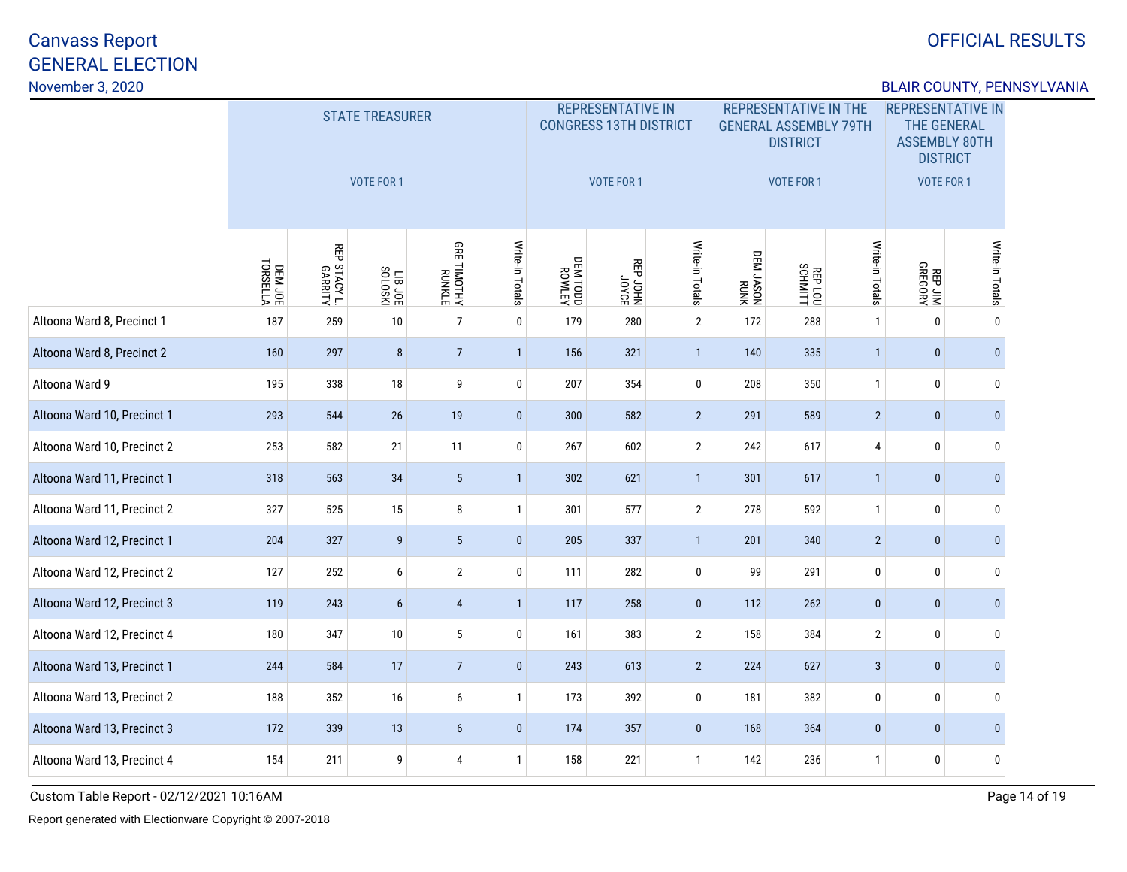## OFFICIAL RESULTS

### BLAIR COUNTY, PENNSYLVANIA

|                             |                     |                         | <b>STATE TREASURER</b><br><b>VOTE FOR 1</b> |                         |                 |                   | <b>REPRESENTATIVE IN</b><br><b>CONGRESS 13TH DISTRICT</b><br>VOTE FOR 1 |                 |                   | <b>REPRESENTATIVE IN THE</b><br><b>GENERAL ASSEMBLY 79TH</b><br><b>DISTRICT</b><br><b>VOTE FOR 1</b> |                 | <b>REPRESENTATIVE IN</b><br><b>THE GENERAL</b><br><b>ASSEMBLY 80TH</b><br><b>DISTRICT</b><br><b>VOTE FOR 1</b> |                 |
|-----------------------------|---------------------|-------------------------|---------------------------------------------|-------------------------|-----------------|-------------------|-------------------------------------------------------------------------|-----------------|-------------------|------------------------------------------------------------------------------------------------------|-----------------|----------------------------------------------------------------------------------------------------------------|-----------------|
|                             | DEM JOE<br>TORSELLA | REP STACY L.<br>GARRITY | <b>TIBJOE</b>                               | GRE TIMOTHY<br>RUNKLE   | Write-in Totals | NJTMON<br>QOL MJQ | BOAOC<br>NHOC dBN                                                       | Write-in Totals | NNNH<br>NOSYL M30 | REPLOU                                                                                               | Write-in Totals | REP JIM<br>GREGORY                                                                                             | Write-in Totals |
| Altoona Ward 8, Precinct 1  | 187                 | 259                     | 10                                          | $\overline{7}$          | $\mathbf 0$     | 179               | 280                                                                     | $\overline{2}$  | 172               | 288                                                                                                  | $\mathbf{1}$    | 0                                                                                                              | $\mathbf 0$     |
| Altoona Ward 8, Precinct 2  | 160                 | 297                     | 8                                           | $\overline{7}$          | $\mathbf{1}$    | 156               | 321                                                                     | $\mathbf{1}$    | 140               | 335                                                                                                  | $\overline{1}$  | $\bf{0}$                                                                                                       | $\bf{0}$        |
| Altoona Ward 9              | 195                 | 338                     | 18                                          | 9                       | $\mathbf 0$     | 207               | 354                                                                     | $\pmb{0}$       | 208               | 350                                                                                                  | $\mathbf{1}$    | 0                                                                                                              | $\mathbf{0}$    |
| Altoona Ward 10, Precinct 1 | 293                 | 544                     | $26\,$                                      | 19                      | $\pmb{0}$       | 300               | 582                                                                     | $\overline{2}$  | 291               | 589                                                                                                  | $\overline{2}$  | $\bf{0}$                                                                                                       | $\mathbf{0}$    |
| Altoona Ward 10, Precinct 2 | 253                 | 582                     | 21                                          | 11                      | $\mathbf 0$     | 267               | 602                                                                     | $\overline{2}$  | 242               | 617                                                                                                  | 4               | 0                                                                                                              | $\mathbf{0}$    |
| Altoona Ward 11, Precinct 1 | 318                 | 563                     | 34                                          | $5\phantom{.0}$         | $\mathbf{1}$    | 302               | 621                                                                     | $\mathbf{1}$    | 301               | 617                                                                                                  | $\mathbf{1}$    | $\pmb{0}$                                                                                                      | $\mathbf 0$     |
| Altoona Ward 11, Precinct 2 | 327                 | 525                     | 15                                          | 8                       | $\mathbf{1}$    | 301               | 577                                                                     | $\mathbf{2}$    | 278               | 592                                                                                                  | $\mathbf{1}$    | 0                                                                                                              | $\mathbf{0}$    |
| Altoona Ward 12, Precinct 1 | 204                 | 327                     | 9                                           | $5\phantom{.0}$         | $\pmb{0}$       | 205               | 337                                                                     | $\mathbf{1}$    | 201               | 340                                                                                                  | $\overline{2}$  | $\pmb{0}$                                                                                                      | $\bf{0}$        |
| Altoona Ward 12, Precinct 2 | 127                 | 252                     | 6                                           | $\overline{2}$          | 0               | 111               | 282                                                                     | 0               | 99                | 291                                                                                                  | 0               | 0                                                                                                              | $\mathbf{0}$    |
| Altoona Ward 12, Precinct 3 | 119                 | 243                     | $\boldsymbol{6}$                            | $\overline{\mathbf{4}}$ | 1               | 117               | 258                                                                     | $\pmb{0}$       | 112               | 262                                                                                                  | $\pmb{0}$       | $\pmb{0}$                                                                                                      | $\mathbf{0}$    |
| Altoona Ward 12, Precinct 4 | 180                 | 347                     | 10                                          | 5                       | $\bf{0}$        | 161               | 383                                                                     | $\mathbf{2}$    | 158               | 384                                                                                                  | $\mathbf 2$     | $\bf{0}$                                                                                                       | $\mathbf{0}$    |
| Altoona Ward 13, Precinct 1 | 244                 | 584                     | 17                                          | $\overline{7}$          | $\pmb{0}$       | 243               | 613                                                                     | $\overline{2}$  | 224               | 627                                                                                                  | $\sqrt{3}$      | $\pmb{0}$                                                                                                      | $\mathbf{0}$    |
| Altoona Ward 13, Precinct 2 | 188                 | 352                     | 16                                          | 6                       | $\mathbf{1}$    | 173               | 392                                                                     | $\mathbf 0$     | 181               | 382                                                                                                  | 0               | 0                                                                                                              | $\mathbf 0$     |
| Altoona Ward 13, Precinct 3 | 172                 | 339                     | 13                                          | $\boldsymbol{6}$        | $\mathbf 0$     | 174               | 357                                                                     | $\bf{0}$        | 168               | 364                                                                                                  | $\pmb{0}$       | 0                                                                                                              | $\mathbf{0}$    |
| Altoona Ward 13, Precinct 4 | 154                 | 211                     | 9                                           | 4                       | $\mathbf{1}$    | 158               | 221                                                                     | $\mathbf{1}$    | 142               | 236                                                                                                  | $\mathbf{1}$    | 0                                                                                                              | $\mathbf 0$     |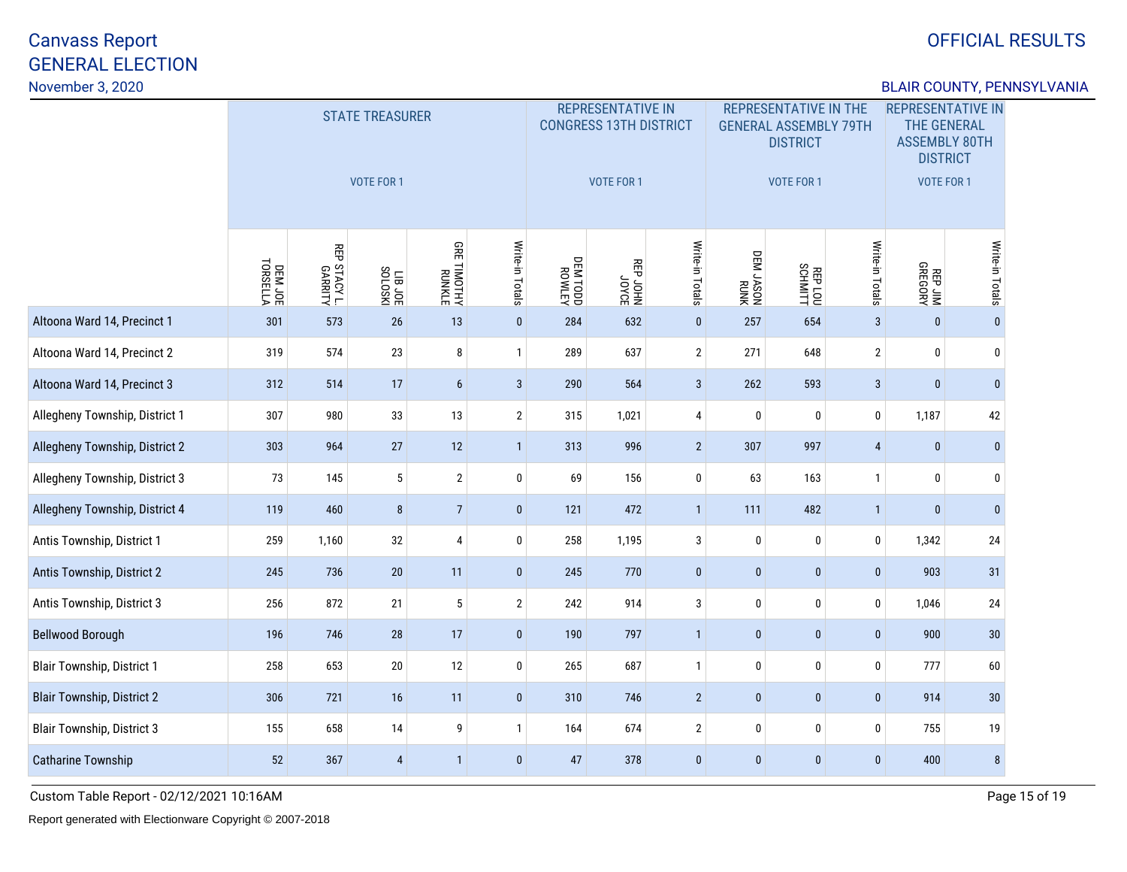## OFFICIAL RESULTS

### BLAIR COUNTY, PENNSYLVANIA

|                                   |                     |                         | <b>STATE TREASURER</b><br><b>VOTE FOR 1</b> |                              |                 |                   | <b>REPRESENTATIVE IN</b><br><b>CONGRESS 13TH DISTRICT</b><br>VOTE FOR 1 |                 | <b>REPRESENTATIVE IN THE</b><br><b>GENERAL ASSEMBLY 79TH</b><br><b>DISTRICT</b><br><b>VOTE FOR 1</b> |              |                 | <b>REPRESENTATIVE IN</b><br><b>THE GENERAL</b><br><b>ASSEMBLY 80TH</b><br><b>DISTRICT</b><br><b>VOTE FOR 1</b> |                 |
|-----------------------------------|---------------------|-------------------------|---------------------------------------------|------------------------------|-----------------|-------------------|-------------------------------------------------------------------------|-----------------|------------------------------------------------------------------------------------------------------|--------------|-----------------|----------------------------------------------------------------------------------------------------------------|-----------------|
|                                   | DEM JOE<br>TORSELLA | REP STACY L.<br>GARRITY | LIB JOE                                     | <b>GRE TIMOTHY</b><br>RUNKLE | Write-in Totals | NJTMON<br>QOL MJQ | BOAOC<br>NHOC dBN                                                       | Write-in Totals | NNNH<br>NOSYL MEO                                                                                    | REPLOU       | Write-in Totals | REP JIM<br>GREGORY                                                                                             | Write-in Totals |
| Altoona Ward 14, Precinct 1       | 301                 | 573                     | $26\,$                                      | 13                           | $\pmb{0}$       | 284               | 632                                                                     | $\mathbf{0}$    | 257                                                                                                  | 654          | $\overline{3}$  | $\mathbf{0}$                                                                                                   | $\mathbf{0}$    |
| Altoona Ward 14, Precinct 2       | 319                 | 574                     | 23                                          | 8                            | $\mathbf{1}$    | 289               | 637                                                                     | $\mathbf{2}$    | 271                                                                                                  | 648          | $\mathbf 2$     | 0                                                                                                              | $\mathbf 0$     |
| Altoona Ward 14, Precinct 3       | 312                 | 514                     | 17                                          | $\boldsymbol{6}$             | $\mathbf{3}$    | 290               | 564                                                                     | $\sqrt{3}$      | 262                                                                                                  | 593          | $\mathbf{3}$    | $\bf{0}$                                                                                                       | $\mathbf{0}$    |
| Allegheny Township, District 1    | 307                 | 980                     | 33                                          | 13                           | $\overline{2}$  | 315               | 1,021                                                                   | 4               | $\mathbf 0$                                                                                          | 0            | $\mathbf 0$     | 1,187                                                                                                          | 42              |
| Allegheny Township, District 2    | 303                 | 964                     | 27                                          | 12                           | $\mathbf{1}$    | 313               | 996                                                                     | $\overline{2}$  | 307                                                                                                  | 997          | $\overline{4}$  | $\mathbf 0$                                                                                                    | $\mathbf{0}$    |
| Allegheny Township, District 3    | 73                  | 145                     | $5\phantom{.0}$                             | $\overline{2}$               | $\bf{0}$        | 69                | 156                                                                     | $\pmb{0}$       | 63                                                                                                   | 163          | $\mathbf{1}$    | 0                                                                                                              | $\mathbf 0$     |
| Allegheny Township, District 4    | 119                 | 460                     | $\bf 8$                                     | $\overline{7}$               | $\pmb{0}$       | 121               | 472                                                                     | $\mathbf{1}$    | 111                                                                                                  | 482          | $\overline{1}$  | $\mathbf{0}$                                                                                                   | $\mathbf{0}$    |
| Antis Township, District 1        | 259                 | 1,160                   | 32                                          | $\overline{4}$               | $\pmb{0}$       | 258               | 1,195                                                                   | $\mathbf{3}$    | $\mathbf 0$                                                                                          | 0            | $\mathbf 0$     | 1,342                                                                                                          | 24              |
| Antis Township, District 2        | 245                 | 736                     | 20                                          | 11                           | $\pmb{0}$       | 245               | 770                                                                     | $\pmb{0}$       | $\pmb{0}$                                                                                            | $\pmb{0}$    | $\pmb{0}$       | 903                                                                                                            | 31              |
| Antis Township, District 3        | 256                 | 872                     | 21                                          | $\sqrt{5}$                   | $\mathbf{2}$    | 242               | 914                                                                     | $\sqrt{3}$      | $\mathbf 0$                                                                                          | 0            | $\mathbf 0$     | 1,046                                                                                                          | 24              |
| <b>Bellwood Borough</b>           | 196                 | 746                     | 28                                          | 17                           | $\mathbf 0$     | 190               | 797                                                                     | $\mathbf{1}$    | $\pmb{0}$                                                                                            | $\mathbf{0}$ | $\mathbf{0}$    | 900                                                                                                            | 30              |
| <b>Blair Township, District 1</b> | 258                 | 653                     | $20\,$                                      | 12                           | $\bf{0}$        | 265               | 687                                                                     | $\mathbf{1}$    | $\mathbf 0$                                                                                          | 0            | $\mathbf 0$     | 777                                                                                                            | 60              |
| <b>Blair Township, District 2</b> | 306                 | 721                     | 16                                          | 11                           | $\pmb{0}$       | 310               | 746                                                                     | $\overline{2}$  | $\mathbf{0}$                                                                                         | $\mathbf{0}$ | $\mathbf{0}$    | 914                                                                                                            | $30\,$          |
| <b>Blair Township, District 3</b> | 155                 | 658                     | 14                                          | 9                            | $\mathbf{1}$    | 164               | 674                                                                     | $\mathbf{2}$    | $\mathbf 0$                                                                                          | 0            | 0               | 755                                                                                                            | 19              |
| Catharine Township                | 52                  | 367                     | 4                                           | $\overline{1}$               | $\mathbf{0}$    | 47                | 378                                                                     | $\pmb{0}$       | $\mathbf{0}$                                                                                         | $\pmb{0}$    | $\mathbf{0}$    | 400                                                                                                            | 8               |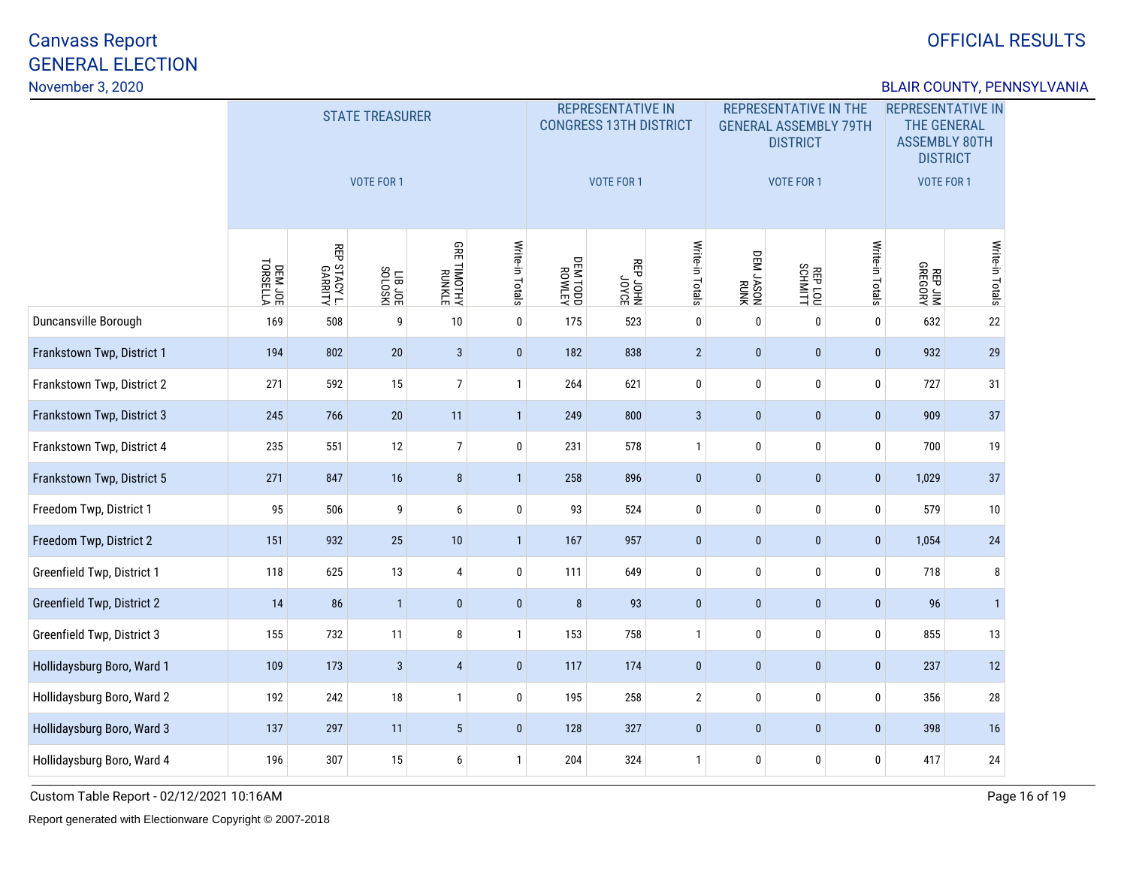## OFFICIAL RESULTS

### BLAIR COUNTY, PENNSYLVANIA

|                            |                     |                         | <b>STATE TREASURER</b><br><b>VOTE FOR 1</b> |                              |                 |                   | <b>REPRESENTATIVE IN</b><br><b>CONGRESS 13TH DISTRICT</b><br><b>VOTE FOR 1</b> |                 |                   | <b>REPRESENTATIVE IN THE</b><br><b>GENERAL ASSEMBLY 79TH</b><br><b>DISTRICT</b><br><b>VOTE FOR 1</b> |                 | <b>REPRESENTATIVE IN</b><br><b>THE GENERAL</b><br><b>ASSEMBLY 80TH</b><br><b>DISTRICT</b><br><b>VOTE FOR 1</b> |                 |
|----------------------------|---------------------|-------------------------|---------------------------------------------|------------------------------|-----------------|-------------------|--------------------------------------------------------------------------------|-----------------|-------------------|------------------------------------------------------------------------------------------------------|-----------------|----------------------------------------------------------------------------------------------------------------|-----------------|
|                            | DEM JOE<br>TORSELLA | REP STACY L.<br>GARRITY | LIB JOE                                     | <b>GRE TIMOTHY</b><br>RUNKLE | Write-in Totals | NJTMON<br>QOL MJQ | BOAOC<br>NHOC dBN                                                              | Write-in Totals | NNNH<br>NOSYL MED | REPLOU                                                                                               | Write-in Totals | REP JIM<br>GREGORY                                                                                             | Write-in Totals |
| Duncansville Borough       | 169                 | 508                     | 9                                           | $10\,$                       | $\mathbf 0$     | 175               | 523                                                                            | $\mathbf 0$     | $\mathbf 0$       | $\mathbf{0}$                                                                                         | $\mathbf 0$     | 632                                                                                                            | $22\,$          |
| Frankstown Twp, District 1 | 194                 | 802                     | 20                                          | $\mathbf{3}$                 | $\mathbf 0$     | 182               | 838                                                                            | $\overline{2}$  | $\pmb{0}$         | $\mathbf{0}$                                                                                         | $\mathbf{0}$    | 932                                                                                                            | 29              |
| Frankstown Twp, District 2 | 271                 | 592                     | 15                                          | $\boldsymbol{7}$             | $\mathbf{1}$    | 264               | 621                                                                            | $\pmb{0}$       | $\bf{0}$          | 0                                                                                                    | $\bf{0}$        | 727                                                                                                            | 31              |
| Frankstown Twp, District 3 | 245                 | 766                     | $20\,$                                      | 11                           | $\mathbf{1}$    | 249               | 800                                                                            | $\mathbf{3}$    | $\pmb{0}$         | $\mathbf{0}$                                                                                         | $\pmb{0}$       | 909                                                                                                            | 37              |
| Frankstown Twp, District 4 | 235                 | 551                     | 12                                          | $\overline{7}$               | $\bf{0}$        | 231               | 578                                                                            | $\mathbf{1}$    | $\mathbf 0$       | 0                                                                                                    | 0               | 700                                                                                                            | 19              |
| Frankstown Twp, District 5 | 271                 | 847                     | 16                                          | $\bf 8$                      | $\mathbf{1}$    | 258               | 896                                                                            | $\pmb{0}$       | $\pmb{0}$         | $\mathbf{0}$                                                                                         | $\pmb{0}$       | 1,029                                                                                                          | 37              |
| Freedom Twp, District 1    | 95                  | 506                     | 9                                           | 6                            | $\bf{0}$        | 93                | 524                                                                            | $\pmb{0}$       | 0                 | 0                                                                                                    | 0               | 579                                                                                                            | 10              |
| Freedom Twp, District 2    | 151                 | 932                     | 25                                          | 10                           | $\mathbf{1}$    | 167               | 957                                                                            | $\mathbf{0}$    | $\pmb{0}$         | $\pmb{0}$                                                                                            | $\mathbf 0$     | 1,054                                                                                                          | 24              |
| Greenfield Twp, District 1 | 118                 | 625                     | 13                                          | $\overline{4}$               | 0               | 111               | 649                                                                            | $\pmb{0}$       | 0                 | 0                                                                                                    | 0               | 718                                                                                                            | 8               |
| Greenfield Twp, District 2 | 14                  | 86                      | $\mathbf{1}$                                | $\pmb{0}$                    | $\bf{0}$        | 8                 | 93                                                                             | $\pmb{0}$       | $\mathbf{0}$      | $\mathbf{0}$                                                                                         | $\mathbf{0}$    | 96                                                                                                             | $\overline{1}$  |
| Greenfield Twp, District 3 | 155                 | 732                     | 11                                          | 8                            | $\mathbf{1}$    | 153               | 758                                                                            | $\mathbf{1}$    | 0                 | 0                                                                                                    | 0               | 855                                                                                                            | 13              |
| Hollidaysburg Boro, Ward 1 | 109                 | 173                     | 3                                           | $\overline{4}$               | $\mathbf 0$     | 117               | 174                                                                            | $\mathbf{0}$    | $\mathbf{0}$      | $\mathbf{0}$                                                                                         | $\mathbf{0}$    | 237                                                                                                            | 12              |
| Hollidaysburg Boro, Ward 2 | 192                 | 242                     | 18                                          | $\mathbf{1}$                 | $\bf{0}$        | 195               | 258                                                                            | $\mathbf{2}$    | $\pmb{0}$         | 0                                                                                                    | 0               | 356                                                                                                            | 28              |
| Hollidaysburg Boro, Ward 3 | 137                 | 297                     | 11                                          | $\overline{5}$               | $\mathbf{0}$    | 128               | 327                                                                            | $\pmb{0}$       | $\mathbf{0}$      | $\mathbf{0}$                                                                                         | $\mathbf{0}$    | 398                                                                                                            | 16              |
| Hollidaysburg Boro, Ward 4 | 196                 | 307                     | 15                                          | 6                            | $\mathbf{1}$    | 204               | 324                                                                            | $\mathbf{1}$    | $\mathbf 0$       | 0                                                                                                    | 0               | 417                                                                                                            | $24\,$          |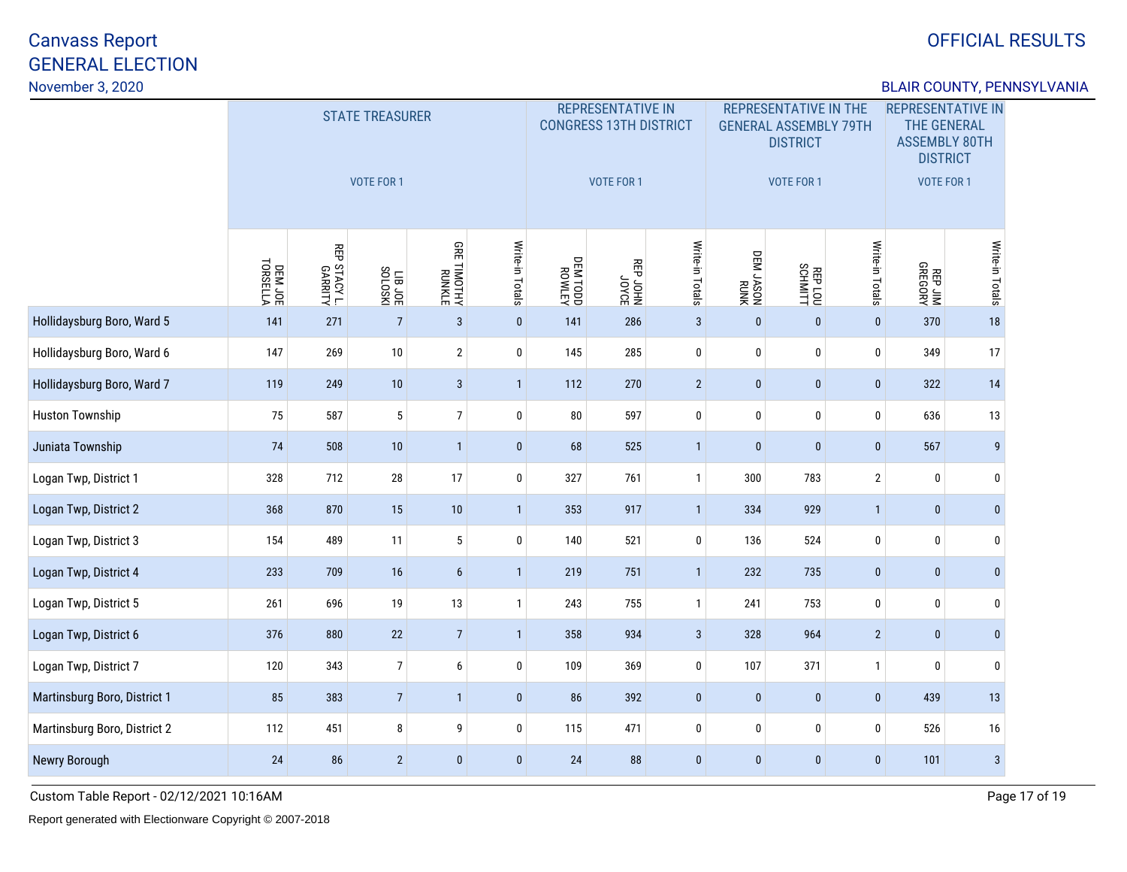## OFFICIAL RESULTS

### BLAIR COUNTY, PENNSYLVANIA

|                              |                     |                         | <b>STATE TREASURER</b><br><b>VOTE FOR 1</b> |                              |                 |                           | <b>REPRESENTATIVE IN</b><br><b>CONGRESS 13TH DISTRICT</b><br>VOTE FOR 1 |                 |                   | <b>REPRESENTATIVE IN THE</b><br><b>GENERAL ASSEMBLY 79TH</b><br><b>DISTRICT</b><br><b>VOTE FOR 1</b> |                 | <b>REPRESENTATIVE IN</b><br><b>THE GENERAL</b><br><b>ASSEMBLY 80TH</b><br><b>DISTRICT</b><br><b>VOTE FOR 1</b> |                  |
|------------------------------|---------------------|-------------------------|---------------------------------------------|------------------------------|-----------------|---------------------------|-------------------------------------------------------------------------|-----------------|-------------------|------------------------------------------------------------------------------------------------------|-----------------|----------------------------------------------------------------------------------------------------------------|------------------|
|                              | DEM JOE<br>TORSELLA | REP STACY L.<br>GARRITY | LIB JOE<br>SOLOSKI                          | <b>GRE TIMOTHY</b><br>RUNKLE | Write-in Totals | <b>NETWOR</b><br>QOOL MBO | BOAOC<br>NHOC dBN                                                       | Write-in Totals | NNNH<br>NOSYL M30 | REPLOU                                                                                               | Write-in Totals | REP JIM<br>REP JIM                                                                                             | Write-in Totals  |
| Hollidaysburg Boro, Ward 5   | 141                 | 271                     | $\overline{7}$                              | $\mathbf{3}$                 | $\mathbf{0}$    | 141                       | 286                                                                     | $\mathbf{3}$    | $\mathbf 0$       | $\pmb{0}$                                                                                            | $\mathbf 0$     | 370                                                                                                            | $18$             |
| Hollidaysburg Boro, Ward 6   | 147                 | 269                     | $10\,$                                      | $\sqrt{2}$                   | $\mathbf 0$     | 145                       | 285                                                                     | $\pmb{0}$       | 0                 | 0                                                                                                    | $\mathbf 0$     | 349                                                                                                            | 17               |
| Hollidaysburg Boro, Ward 7   | 119                 | 249                     | $10$                                        | $\mathbf{3}$                 | $\mathbf{1}$    | 112                       | 270                                                                     | $\overline{2}$  | $\pmb{0}$         | $\mathbf 0$                                                                                          | $\bf{0}$        | 322                                                                                                            | 14               |
| <b>Huston Township</b>       | 75                  | 587                     | 5                                           | $\overline{7}$               | $\pmb{0}$       | 80                        | 597                                                                     | $\pmb{0}$       | 0                 | 0                                                                                                    | 0               | 636                                                                                                            | 13               |
| Juniata Township             | 74                  | 508                     | 10                                          | $\mathbf{1}$                 | $\bf{0}$        | 68                        | 525                                                                     | $\mathbf{1}$    | $\mathbf{0}$      | $\pmb{0}$                                                                                            | $\mathbf{0}$    | 567                                                                                                            | 9                |
| Logan Twp, District 1        | 328                 | 712                     | ${\bf 28}$                                  | 17                           | $\mathbf 0$     | 327                       | 761                                                                     | $\mathbf{1}$    | 300               | 783                                                                                                  | $\overline{2}$  | $\pmb{0}$                                                                                                      | $\boldsymbol{0}$ |
| Logan Twp, District 2        | 368                 | 870                     | 15                                          | 10                           | $\mathbf{1}$    | 353                       | 917                                                                     | $\mathbf{1}$    | 334               | 929                                                                                                  | $\mathbf{1}$    | $\bf{0}$                                                                                                       | $\mathbf{0}$     |
| Logan Twp, District 3        | 154                 | 489                     | 11                                          | $5\phantom{.0}$              | $\bf{0}$        | 140                       | 521                                                                     | 0               | 136               | 524                                                                                                  | 0               | 0                                                                                                              | $\boldsymbol{0}$ |
| Logan Twp, District 4        | 233                 | 709                     | 16                                          | $6\phantom{a}$               | $\mathbf{1}$    | 219                       | 751                                                                     | $\mathbf{1}$    | 232               | 735                                                                                                  | $\mathbf{0}$    | $\pmb{0}$                                                                                                      | $\mathbf{0}$     |
| Logan Twp, District 5        | 261                 | 696                     | 19                                          | 13                           | $\mathbf{1}$    | 243                       | 755                                                                     | $\mathbf{1}$    | 241               | 753                                                                                                  | 0               | $\bf{0}$                                                                                                       | $\mathbf 0$      |
| Logan Twp, District 6        | 376                 | 880                     | 22                                          | $\sqrt{7}$                   | $\mathbf{1}$    | 358                       | 934                                                                     | $\mathbf{3}$    | 328               | 964                                                                                                  | $\sqrt{2}$      | $\bf{0}$                                                                                                       | $\mathbf{0}$     |
| Logan Twp, District 7        | 120                 | 343                     | $\overline{7}$                              | $\boldsymbol{6}$             | $\mathbf 0$     | 109                       | 369                                                                     | $\pmb{0}$       | 107               | 371                                                                                                  | $\mathbf{1}$    | $\pmb{0}$                                                                                                      | $\mathbf 0$      |
| Martinsburg Boro, District 1 | 85                  | 383                     | $\sqrt{ }$                                  | $\mathbf{1}$                 | $\pmb{0}$       | 86                        | 392                                                                     | $\pmb{0}$       | $\pmb{0}$         | $\pmb{0}$                                                                                            | $\bf{0}$        | 439                                                                                                            | 13               |
| Martinsburg Boro, District 2 | 112                 | 451                     | 8                                           | 9                            | $\mathbf 0$     | 115                       | 471                                                                     | $\pmb{0}$       | 0                 | 0                                                                                                    | 0               | 526                                                                                                            | 16               |
| Newry Borough                | 24                  | 86                      | $\overline{2}$                              | $\mathbf{0}$                 | $\bf{0}$        | 24                        | 88                                                                      | $\pmb{0}$       | $\mathbf{0}$      | $\pmb{0}$                                                                                            | $\mathbf 0$     | 101                                                                                                            | $\mathbf{3}$     |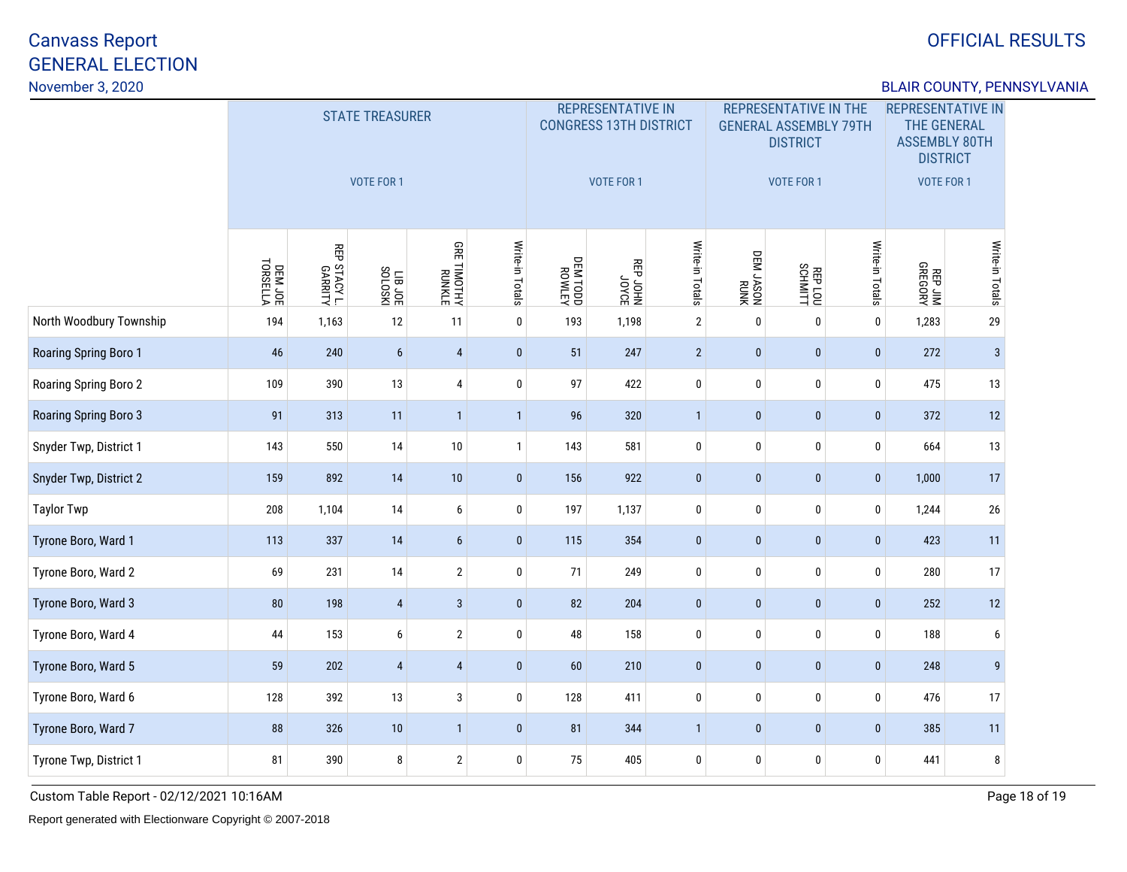## OFFICIAL RESULTS

### BLAIR COUNTY, PENNSYLVANIA

|                         |                                            |                         | <b>STATE TREASURER</b><br><b>VOTE FOR 1</b> |                              |                 |                   | <b>REPRESENTATIVE IN</b><br><b>CONGRESS 13TH DISTRICT</b><br><b>VOTE FOR 1</b> |                 |                   | <b>REPRESENTATIVE IN THE</b><br><b>GENERAL ASSEMBLY 79TH</b><br><b>DISTRICT</b><br><b>VOTE FOR 1</b> |                 | <b>REPRESENTATIVE IN</b><br><b>THE GENERAL</b><br><b>ASSEMBLY 80TH</b><br><b>DISTRICT</b><br><b>VOTE FOR 1</b> |                 |
|-------------------------|--------------------------------------------|-------------------------|---------------------------------------------|------------------------------|-----------------|-------------------|--------------------------------------------------------------------------------|-----------------|-------------------|------------------------------------------------------------------------------------------------------|-----------------|----------------------------------------------------------------------------------------------------------------|-----------------|
|                         | DEM JOE<br>TORSELLA                        | REP STACY L.<br>GARRITY | LIB JOE                                     | <b>GRE TIMOTHY</b><br>RUNKLE | Write-in Totals | NJTMON<br>QOL MJQ | 30x0r<br>NHOr d38                                                              | Write-in Totals | NNNH<br>NOSYL MED | REPLOU                                                                                               | Write-in Totals | REP JIM<br>REP JIM                                                                                             | Write-in Totals |
| North Woodbury Township | 194                                        | 1,163                   | 12                                          | 11                           | $\mathbf 0$     | 193               | 1,198                                                                          | $\mathbf{2}$    | $\mathbf 0$       | 0                                                                                                    | $\mathbf 0$     | 1,283                                                                                                          | $29\,$          |
| Roaring Spring Boro 1   | 46                                         | 240                     | $6\phantom{a}$                              | $\sqrt{4}$                   | $\mathbf 0$     | 51                | 247                                                                            | $\overline{2}$  | $\pmb{0}$         | $\pmb{0}$                                                                                            | $\mathbf{0}$    | 272                                                                                                            | $\mathbf{3}$    |
| Roaring Spring Boro 2   | 109                                        | 390                     | 13                                          | $\pmb{4}$                    | $\pmb{0}$       | 97                | 422                                                                            | $\pmb{0}$       | $\pmb{0}$         | 0                                                                                                    | $\bf{0}$        | 475                                                                                                            | 13              |
| Roaring Spring Boro 3   | 91                                         | 313                     | 11                                          | $\overline{1}$               | $\mathbf{1}$    | 96                | 320                                                                            | $\mathbf{1}$    | $\pmb{0}$         | $\pmb{0}$                                                                                            | $\pmb{0}$       | 372                                                                                                            | 12              |
| Snyder Twp, District 1  | 143                                        | 550                     | 14                                          | $10\,$                       | $\mathbf{1}$    | 143               | 581                                                                            | $\pmb{0}$       | $\mathbf 0$       | 0                                                                                                    | 0               | 664                                                                                                            | 13              |
| Snyder Twp, District 2  | 159                                        | 892                     | 14                                          | 10                           | $\pmb{0}$       | 156               | 922                                                                            | $\pmb{0}$       | $\pmb{0}$         | $\mathbf{0}$                                                                                         | $\pmb{0}$       | 1,000                                                                                                          | 17              |
| <b>Taylor Twp</b>       | 208                                        | 1,104                   | 14                                          | $\boldsymbol{6}$             | $\bf{0}$        | 197               | 1,137                                                                          | $\pmb{0}$       | 0                 | 0                                                                                                    | 0               | 1,244                                                                                                          | 26              |
| Tyrone Boro, Ward 1     | 113                                        | 337                     | 14                                          | $6\phantom{a}$               | $\mathbf 0$     | 115               | 354                                                                            | $\pmb{0}$       | $\pmb{0}$         | $\pmb{0}$                                                                                            | $\mathbf 0$     | 423                                                                                                            | 11              |
| Tyrone Boro, Ward 2     | 69                                         | 231                     | 14                                          | $\sqrt{2}$                   | 0               | 71                | 249                                                                            | $\pmb{0}$       | 0                 | 0                                                                                                    | 0               | 280                                                                                                            | 17              |
| Tyrone Boro, Ward 3     | 80                                         | 198                     | $\overline{4}$                              | $\mathbf{3}$                 | $\bf{0}$        | 82                | 204                                                                            | $\pmb{0}$       | $\mathbf{0}$      | $\pmb{0}$                                                                                            | $\mathbf{0}$    | 252                                                                                                            | 12              |
| Tyrone Boro, Ward 4     | 44                                         | 153                     | 6                                           | $\overline{2}$               | $\bf{0}$        | 48                | 158                                                                            | $\pmb{0}$       | 0                 | 0                                                                                                    | 0               | 188                                                                                                            | 6               |
| Tyrone Boro, Ward 5     | 59                                         | 202                     | $\overline{4}$                              | $\overline{4}$               | $\mathbf 0$     | 60                | 210                                                                            | $\mathbf{0}$    | $\mathbf{0}$      | $\mathbf{0}$                                                                                         | $\mathbf{0}$    | 248                                                                                                            | $\overline{9}$  |
| Tyrone Boro, Ward 6     | $\sqrt{3}$<br>392<br>13<br>$\bf{0}$<br>128 |                         |                                             |                              |                 |                   | 411                                                                            | $\mathbf 0$     | 0                 | 0                                                                                                    | 0               | 476                                                                                                            | 17              |
| Tyrone Boro, Ward 7     | 88                                         | 326                     | $10$                                        | $\mathbf{1}$                 | $\mathbf{0}$    | 81                | 344                                                                            | $\mathbf{1}$    | $\mathbf{0}$      | $\mathbf{0}$                                                                                         | $\mathbf{0}$    | 385                                                                                                            | $11$            |
| Tyrone Twp, District 1  | 81                                         | 390                     | 8                                           | $\sqrt{2}$                   | $\mathbf 0$     | 75                | 405                                                                            | 0               | $\mathbf 0$       | 0                                                                                                    | 0               | 441                                                                                                            | 8               |